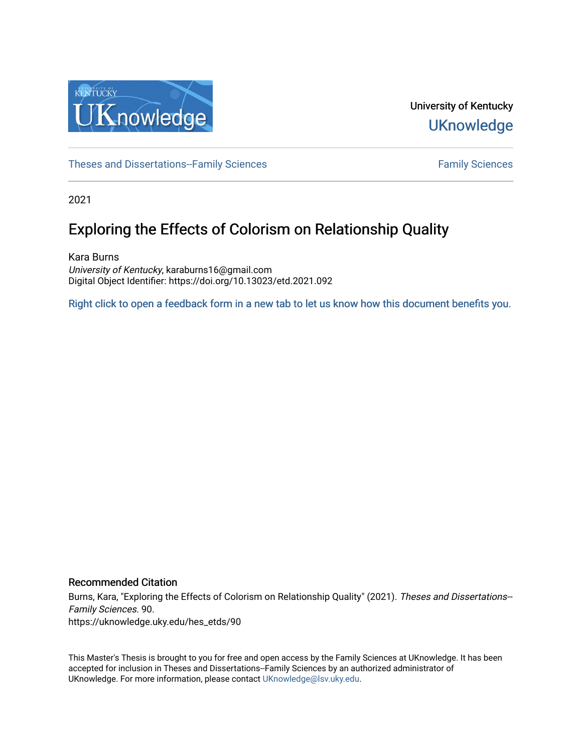

University of Kentucky **UKnowledge** 

[Theses and Dissertations--Family Sciences](https://uknowledge.uky.edu/hes_etds) [Family Sciences](https://uknowledge.uky.edu/hes) Family Sciences

2021

# Exploring the Effects of Colorism on Relationship Quality

Kara Burns University of Kentucky, karaburns16@gmail.com Digital Object Identifier: https://doi.org/10.13023/etd.2021.092

[Right click to open a feedback form in a new tab to let us know how this document benefits you.](https://uky.az1.qualtrics.com/jfe/form/SV_9mq8fx2GnONRfz7)

#### Recommended Citation

Burns, Kara, "Exploring the Effects of Colorism on Relationship Quality" (2021). Theses and Dissertations-- Family Sciences. 90. https://uknowledge.uky.edu/hes\_etds/90

This Master's Thesis is brought to you for free and open access by the Family Sciences at UKnowledge. It has been accepted for inclusion in Theses and Dissertations--Family Sciences by an authorized administrator of UKnowledge. For more information, please contact [UKnowledge@lsv.uky.edu](mailto:UKnowledge@lsv.uky.edu).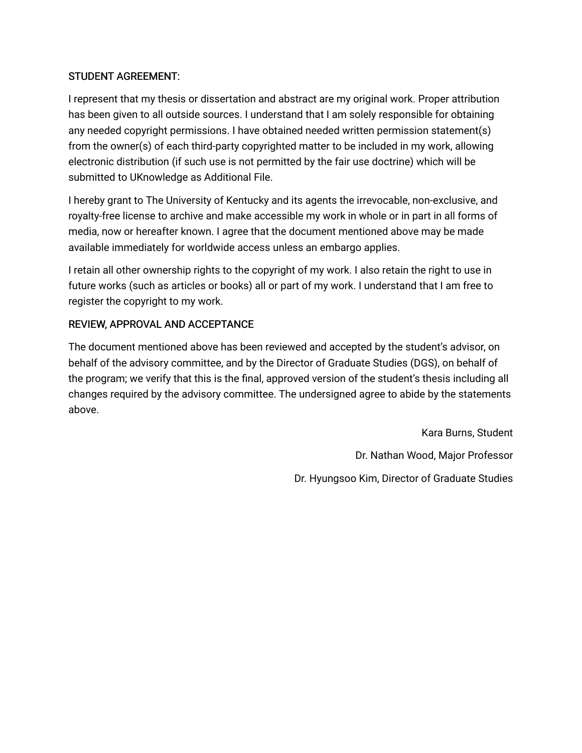## STUDENT AGREEMENT:

I represent that my thesis or dissertation and abstract are my original work. Proper attribution has been given to all outside sources. I understand that I am solely responsible for obtaining any needed copyright permissions. I have obtained needed written permission statement(s) from the owner(s) of each third-party copyrighted matter to be included in my work, allowing electronic distribution (if such use is not permitted by the fair use doctrine) which will be submitted to UKnowledge as Additional File.

I hereby grant to The University of Kentucky and its agents the irrevocable, non-exclusive, and royalty-free license to archive and make accessible my work in whole or in part in all forms of media, now or hereafter known. I agree that the document mentioned above may be made available immediately for worldwide access unless an embargo applies.

I retain all other ownership rights to the copyright of my work. I also retain the right to use in future works (such as articles or books) all or part of my work. I understand that I am free to register the copyright to my work.

## REVIEW, APPROVAL AND ACCEPTANCE

The document mentioned above has been reviewed and accepted by the student's advisor, on behalf of the advisory committee, and by the Director of Graduate Studies (DGS), on behalf of the program; we verify that this is the final, approved version of the student's thesis including all changes required by the advisory committee. The undersigned agree to abide by the statements above.

> Kara Burns, Student Dr. Nathan Wood, Major Professor Dr. Hyungsoo Kim, Director of Graduate Studies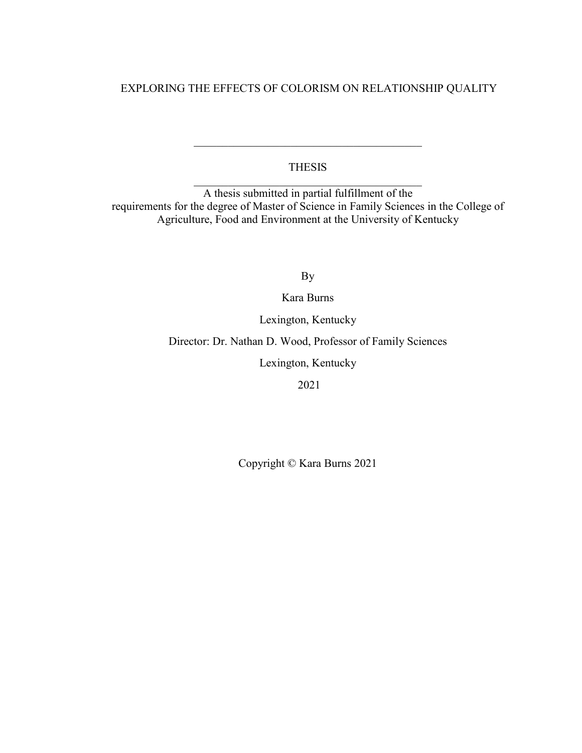## EXPLORING THE EFFECTS OF COLORISM ON RELATIONSHIP QUALITY

## THESIS  $\mathcal{L}_\text{max}$  , and the set of the set of the set of the set of the set of the set of the set of the set of the set of the set of the set of the set of the set of the set of the set of the set of the set of the set of the

 $\mathcal{L}_\mathcal{L}$  , which is a set of the set of the set of the set of the set of the set of the set of the set of the set of the set of the set of the set of the set of the set of the set of the set of the set of the set of

A thesis submitted in partial fulfillment of the requirements for the degree of Master of Science in Family Sciences in the College of Agriculture, Food and Environment at the University of Kentucky

By

Kara Burns

Lexington, Kentucky

Director: Dr. Nathan D. Wood, Professor of Family Sciences

Lexington, Kentucky

2021

Copyright © Kara Burns 2021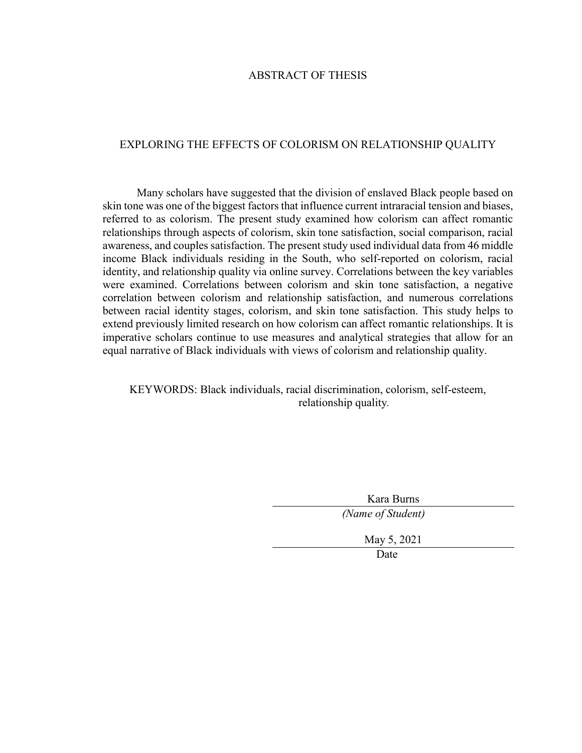#### ABSTRACT OF THESIS

#### EXPLORING THE EFFECTS OF COLORISM ON RELATIONSHIP QUALITY

Many scholars have suggested that the division of enslaved Black people based on skin tone was one of the biggest factors that influence current intraracial tension and biases, referred to as colorism. The present study examined how colorism can affect romantic relationships through aspects of colorism, skin tone satisfaction, social comparison, racial awareness, and couples satisfaction. The present study used individual data from 46 middle income Black individuals residing in the South, who self-reported on colorism, racial identity, and relationship quality via online survey. Correlations between the key variables were examined. Correlations between colorism and skin tone satisfaction, a negative correlation between colorism and relationship satisfaction, and numerous correlations between racial identity stages, colorism, and skin tone satisfaction. This study helps to extend previously limited research on how colorism can affect romantic relationships. It is imperative scholars continue to use measures and analytical strategies that allow for an equal narrative of Black individuals with views of colorism and relationship quality.

## KEYWORDS: Black individuals, racial discrimination, colorism, self-esteem, relationship quality*.*

| Kara Burns        |  |
|-------------------|--|
| (Name of Student) |  |
| May 5, 2021       |  |
| Date              |  |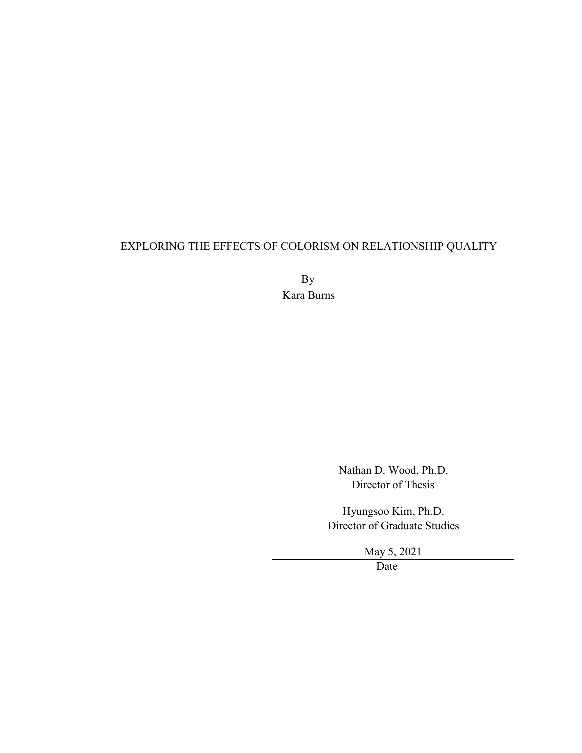## EXPLORING THE EFFECTS OF COLORISM ON RELATIONSHIP QUALITY

By Kara Burns

Nathan D. Wood, Ph.D.

Director of Thesis

Hyungsoo Kim, Ph.D. Director of Graduate Studies

May 5, 2021

Date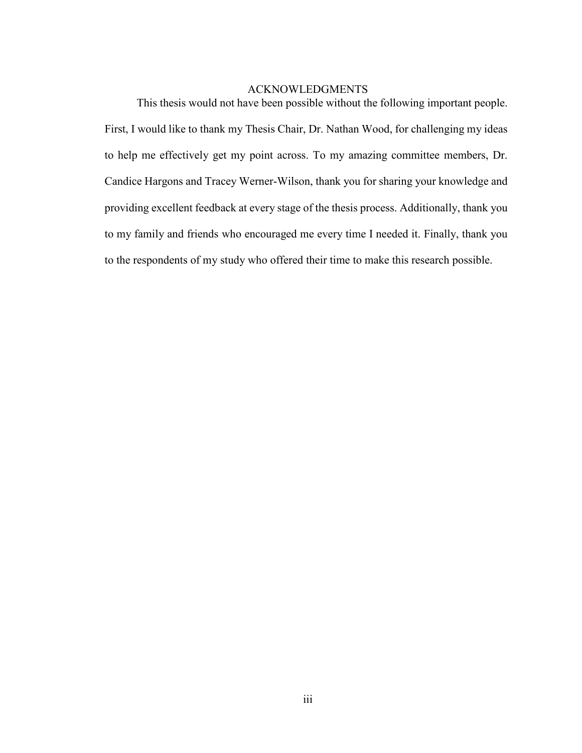## ACKNOWLEDGMENTS

<span id="page-5-0"></span>This thesis would not have been possible without the following important people. First, I would like to thank my Thesis Chair, Dr. Nathan Wood, for challenging my ideas to help me effectively get my point across. To my amazing committee members, Dr. Candice Hargons and Tracey Werner-Wilson, thank you for sharing your knowledge and providing excellent feedback at every stage of the thesis process. Additionally, thank you to my family and friends who encouraged me every time I needed it. Finally, thank you to the respondents of my study who offered their time to make this research possible.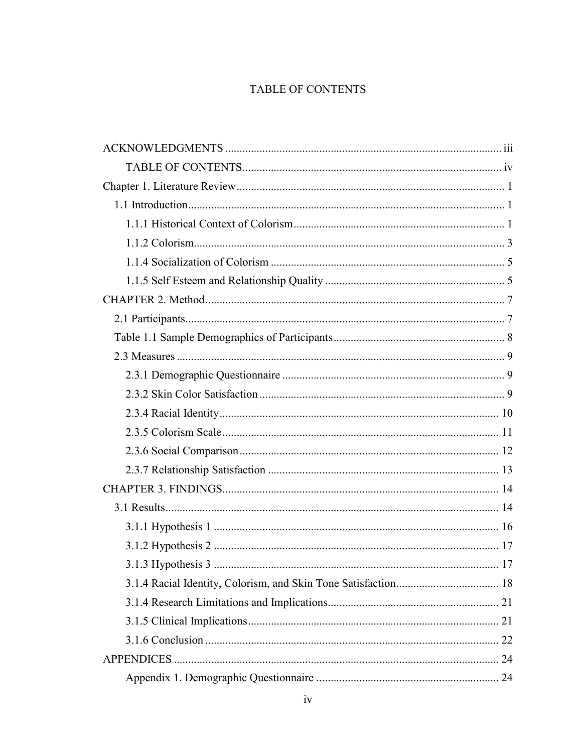## **TABLE OF CONTENTS**

<span id="page-6-0"></span>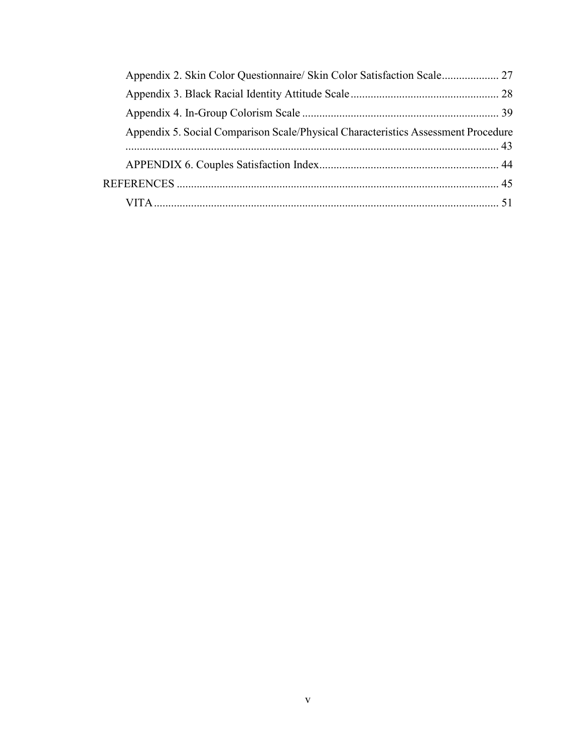| Appendix 5. Social Comparison Scale/Physical Characteristics Assessment Procedure |  |
|-----------------------------------------------------------------------------------|--|
|                                                                                   |  |
|                                                                                   |  |
|                                                                                   |  |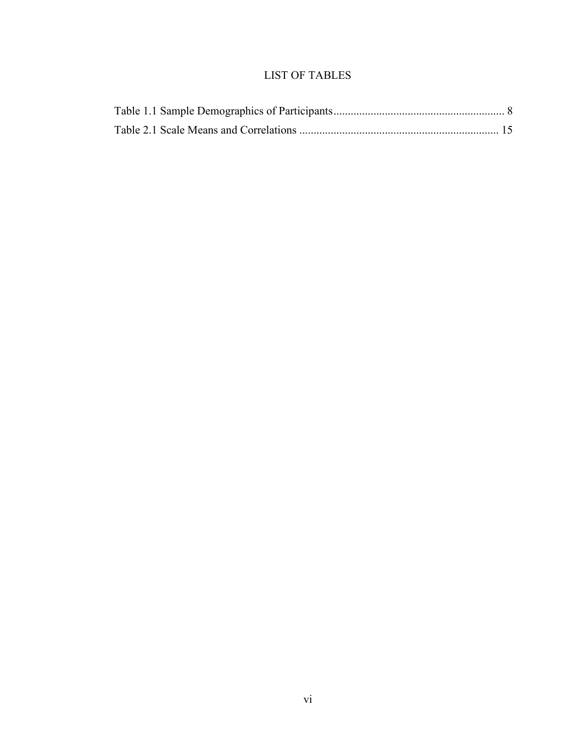## LIST OF TABLES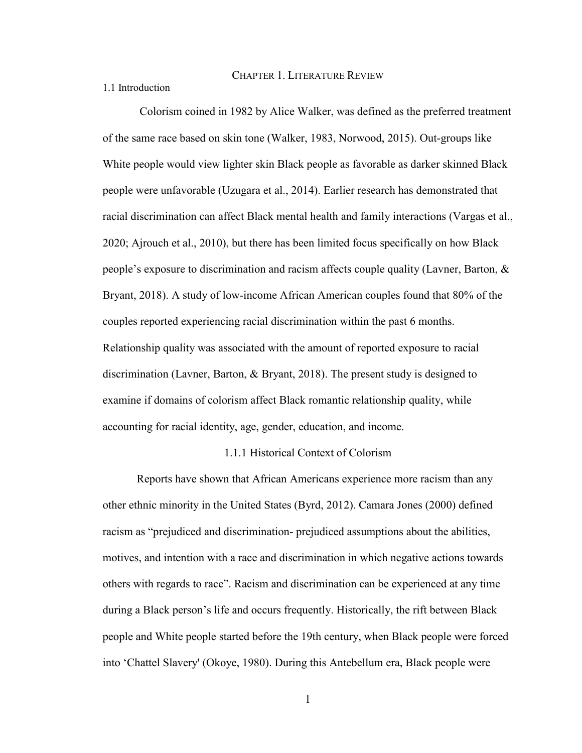CHAPTER 1. LITERATURE REVIEW

<span id="page-9-1"></span><span id="page-9-0"></span>1.1 Introduction

Colorism coined in 1982 by Alice Walker, was defined as the preferred treatment of the same race based on skin tone (Walker, 1983, Norwood, 2015). Out-groups like White people would view lighter skin Black people as favorable as darker skinned Black people were unfavorable (Uzugara et al., 2014). Earlier research has demonstrated that racial discrimination can affect Black mental health and family interactions (Vargas et al., 2020; Ajrouch et al., 2010), but there has been limited focus specifically on how Black people's exposure to discrimination and racism affects couple quality (Lavner, Barton,  $\&$ Bryant, 2018). A study of low-income African American couples found that 80% of the couples reported experiencing racial discrimination within the past 6 months. Relationship quality was associated with the amount of reported exposure to racial discrimination (Lavner, Barton, & Bryant, 2018). The present study is designed to examine if domains of colorism affect Black romantic relationship quality, while accounting for racial identity, age, gender, education, and income.

#### 1.1.1 Historical Context of Colorism

<span id="page-9-2"></span>Reports have shown that African Americans experience more racism than any other ethnic minority in the United States (Byrd, 2012). Camara Jones (2000) defined racism as "prejudiced and discrimination- prejudiced assumptions about the abilities, motives, and intention with a race and discrimination in which negative actions towards others with regards to race". Racism and discrimination can be experienced at any time during a Black person's life and occurs frequently. Historically, the rift between Black people and White people started before the 19th century, when Black people were forced into 'Chattel Slavery' (Okoye, 1980). During this Antebellum era, Black people were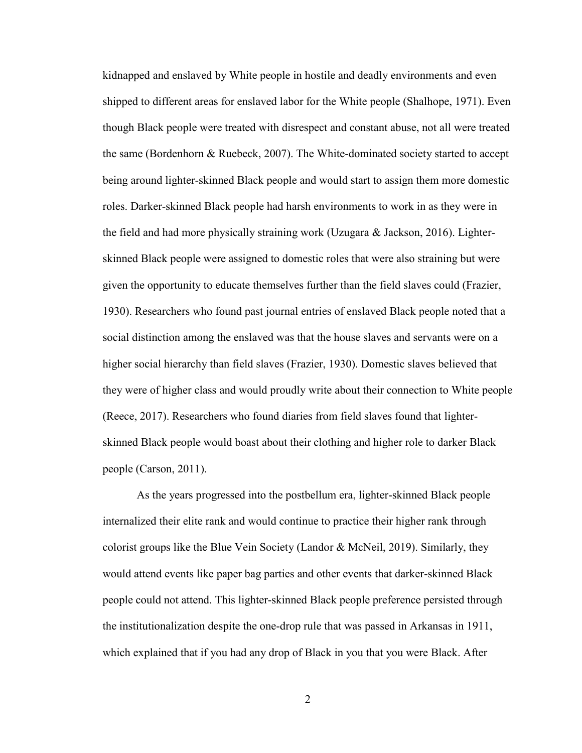kidnapped and enslaved by White people in hostile and deadly environments and even shipped to different areas for enslaved labor for the White people (Shalhope, 1971). Even though Black people were treated with disrespect and constant abuse, not all were treated the same (Bordenhorn & Ruebeck, 2007). The White-dominated society started to accept being around lighter-skinned Black people and would start to assign them more domestic roles. Darker-skinned Black people had harsh environments to work in as they were in the field and had more physically straining work (Uzugara & Jackson, 2016). Lighterskinned Black people were assigned to domestic roles that were also straining but were given the opportunity to educate themselves further than the field slaves could (Frazier, 1930). Researchers who found past journal entries of enslaved Black people noted that a social distinction among the enslaved was that the house slaves and servants were on a higher social hierarchy than field slaves (Frazier, 1930). Domestic slaves believed that they were of higher class and would proudly write about their connection to White people (Reece, 2017). Researchers who found diaries from field slaves found that lighterskinned Black people would boast about their clothing and higher role to darker Black people (Carson, 2011).

As the years progressed into the postbellum era, lighter-skinned Black people internalized their elite rank and would continue to practice their higher rank through colorist groups like the Blue Vein Society (Landor & McNeil, 2019). Similarly, they would attend events like paper bag parties and other events that darker-skinned Black people could not attend. This lighter-skinned Black people preference persisted through the institutionalization despite the one-drop rule that was passed in Arkansas in 1911, which explained that if you had any drop of Black in you that you were Black. After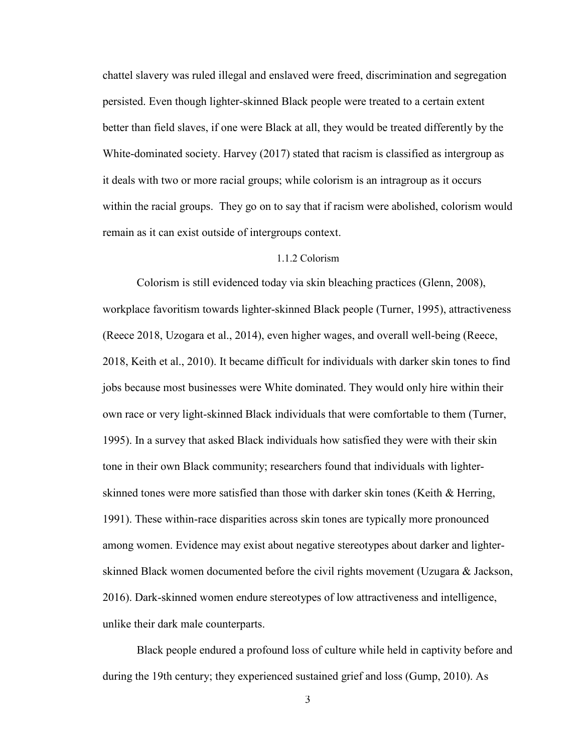chattel slavery was ruled illegal and enslaved were freed, discrimination and segregation persisted. Even though lighter-skinned Black people were treated to a certain extent better than field slaves, if one were Black at all, they would be treated differently by the White-dominated society. Harvey (2017) stated that racism is classified as intergroup as it deals with two or more racial groups; while colorism is an intragroup as it occurs within the racial groups. They go on to say that if racism were abolished, colorism would remain as it can exist outside of intergroups context.

#### 1.1.2 Colorism

<span id="page-11-0"></span>Colorism is still evidenced today via skin bleaching practices (Glenn, 2008), workplace favoritism towards lighter-skinned Black people (Turner, 1995), attractiveness (Reece 2018, Uzogara et al., 2014), even higher wages, and overall well-being (Reece, 2018, Keith et al., 2010). It became difficult for individuals with darker skin tones to find jobs because most businesses were White dominated. They would only hire within their own race or very light-skinned Black individuals that were comfortable to them (Turner, 1995). In a survey that asked Black individuals how satisfied they were with their skin tone in their own Black community; researchers found that individuals with lighterskinned tones were more satisfied than those with darker skin tones (Keith & Herring, 1991). These within-race disparities across skin tones are typically more pronounced among women. Evidence may exist about negative stereotypes about darker and lighterskinned Black women documented before the civil rights movement (Uzugara & Jackson, 2016). Dark-skinned women endure stereotypes of low attractiveness and intelligence, unlike their dark male counterparts.

Black people endured a profound loss of culture while held in captivity before and during the 19th century; they experienced sustained grief and loss (Gump, 2010). As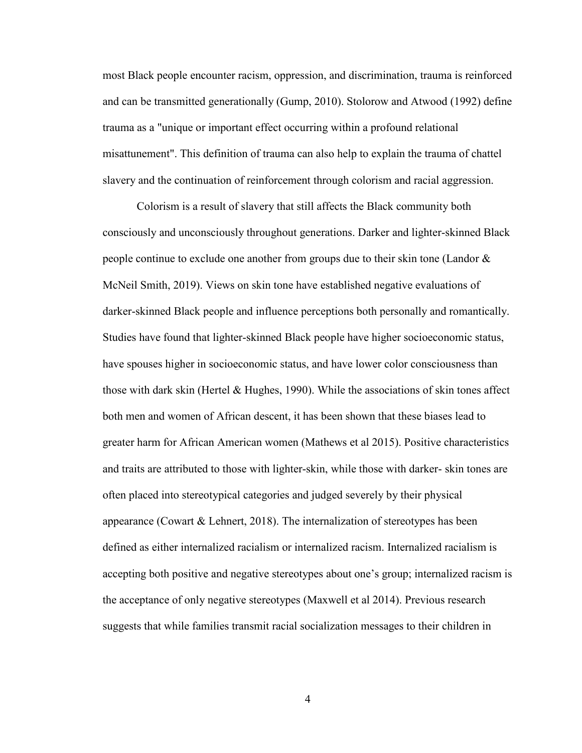most Black people encounter racism, oppression, and discrimination, trauma is reinforced and can be transmitted generationally (Gump, 2010). Stolorow and Atwood (1992) define trauma as a "unique or important effect occurring within a profound relational misattunement". This definition of trauma can also help to explain the trauma of chattel slavery and the continuation of reinforcement through colorism and racial aggression.

Colorism is a result of slavery that still affects the Black community both consciously and unconsciously throughout generations. Darker and lighter-skinned Black people continue to exclude one another from groups due to their skin tone (Landor & McNeil Smith, 2019). Views on skin tone have established negative evaluations of darker-skinned Black people and influence perceptions both personally and romantically. Studies have found that lighter-skinned Black people have higher socioeconomic status, have spouses higher in socioeconomic status, and have lower color consciousness than those with dark skin (Hertel & Hughes, 1990). While the associations of skin tones affect both men and women of African descent, it has been shown that these biases lead to greater harm for African American women (Mathews et al 2015). Positive characteristics and traits are attributed to those with lighter-skin, while those with darker- skin tones are often placed into stereotypical categories and judged severely by their physical appearance (Cowart & Lehnert, 2018). The internalization of stereotypes has been defined as either internalized racialism or internalized racism. Internalized racialism is accepting both positive and negative stereotypes about one's group; internalized racism is the acceptance of only negative stereotypes (Maxwell et al 2014). Previous research suggests that while families transmit racial socialization messages to their children in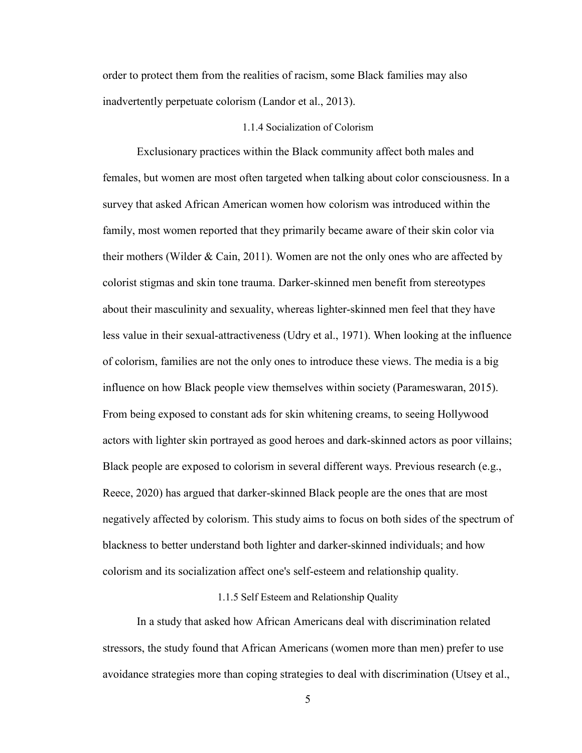order to protect them from the realities of racism, some Black families may also inadvertently perpetuate colorism (Landor et al., 2013).

#### 1.1.4 Socialization of Colorism

<span id="page-13-0"></span>Exclusionary practices within the Black community affect both males and females, but women are most often targeted when talking about color consciousness. In a survey that asked African American women how colorism was introduced within the family, most women reported that they primarily became aware of their skin color via their mothers (Wilder & Cain, 2011). Women are not the only ones who are affected by colorist stigmas and skin tone trauma. Darker-skinned men benefit from stereotypes about their masculinity and sexuality, whereas lighter-skinned men feel that they have less value in their sexual-attractiveness (Udry et al., 1971). When looking at the influence of colorism, families are not the only ones to introduce these views. The media is a big influence on how Black people view themselves within society (Parameswaran, 2015). From being exposed to constant ads for skin whitening creams, to seeing Hollywood actors with lighter skin portrayed as good heroes and dark-skinned actors as poor villains; Black people are exposed to colorism in several different ways. Previous research (e.g., Reece, 2020) has argued that darker-skinned Black people are the ones that are most negatively affected by colorism. This study aims to focus on both sides of the spectrum of blackness to better understand both lighter and darker-skinned individuals; and how colorism and its socialization affect one's self-esteem and relationship quality.

#### 1.1.5 Self Esteem and Relationship Quality

<span id="page-13-1"></span>In a study that asked how African Americans deal with discrimination related stressors, the study found that African Americans (women more than men) prefer to use avoidance strategies more than coping strategies to deal with discrimination (Utsey et al.,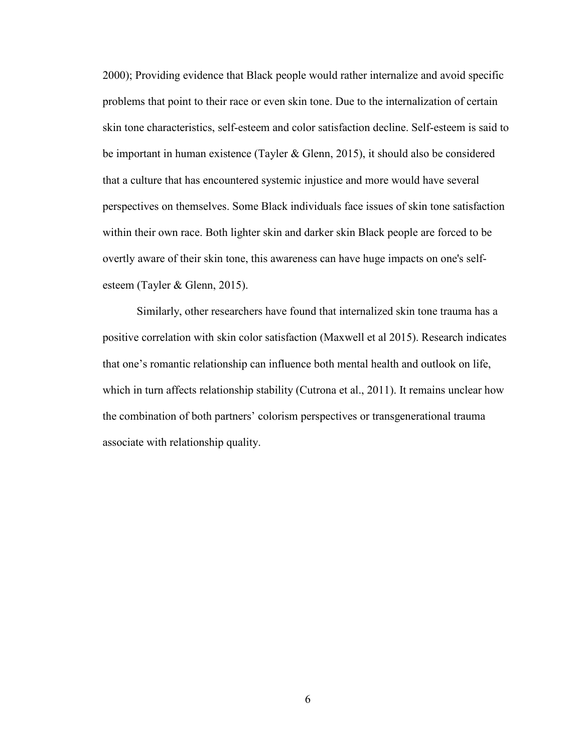2000); Providing evidence that Black people would rather internalize and avoid specific problems that point to their race or even skin tone. Due to the internalization of certain skin tone characteristics, self-esteem and color satisfaction decline. Self-esteem is said to be important in human existence (Tayler & Glenn, 2015), it should also be considered that a culture that has encountered systemic injustice and more would have several perspectives on themselves. Some Black individuals face issues of skin tone satisfaction within their own race. Both lighter skin and darker skin Black people are forced to be overtly aware of their skin tone, this awareness can have huge impacts on one's selfesteem (Tayler & Glenn, 2015).

Similarly, other researchers have found that internalized skin tone trauma has a positive correlation with skin color satisfaction (Maxwell et al 2015). Research indicates that one's romantic relationship can influence both mental health and outlook on life, which in turn affects relationship stability (Cutrona et al., 2011). It remains unclear how the combination of both partners' colorism perspectives or transgenerational trauma associate with relationship quality.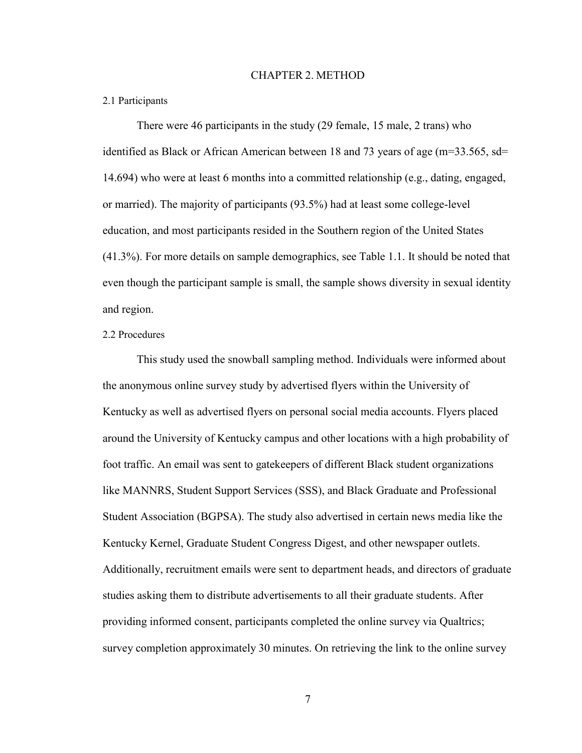#### CHAPTER 2. METHOD

#### <span id="page-15-1"></span><span id="page-15-0"></span>2.1 Participants

There were 46 participants in the study (29 female, 15 male, 2 trans) who identified as Black or African American between 18 and 73 years of age (m=33.565, sd= 14.694) who were at least 6 months into a committed relationship (e.g., dating, engaged, or married). The majority of participants (93.5%) had at least some college-level education, and most participants resided in the Southern region of the United States (41.3%). For more details on sample demographics, see Table 1.1. It should be noted that even though the participant sample is small, the sample shows diversity in sexual identity and region.

#### 2.2 Procedures

This study used the snowball sampling method. Individuals were informed about the anonymous online survey study by advertised flyers within the University of Kentucky as well as advertised flyers on personal social media accounts. Flyers placed around the University of Kentucky campus and other locations with a high probability of foot traffic. An email was sent to gatekeepers of different Black student organizations like MANNRS, Student Support Services (SSS), and Black Graduate and Professional Student Association (BGPSA). The study also advertised in certain news media like the Kentucky Kernel, Graduate Student Congress Digest, and other newspaper outlets. Additionally, recruitment emails were sent to department heads, and directors of graduate studies asking them to distribute advertisements to all their graduate students. After providing informed consent, participants completed the online survey via Qualtrics; survey completion approximately 30 minutes. On retrieving the link to the online survey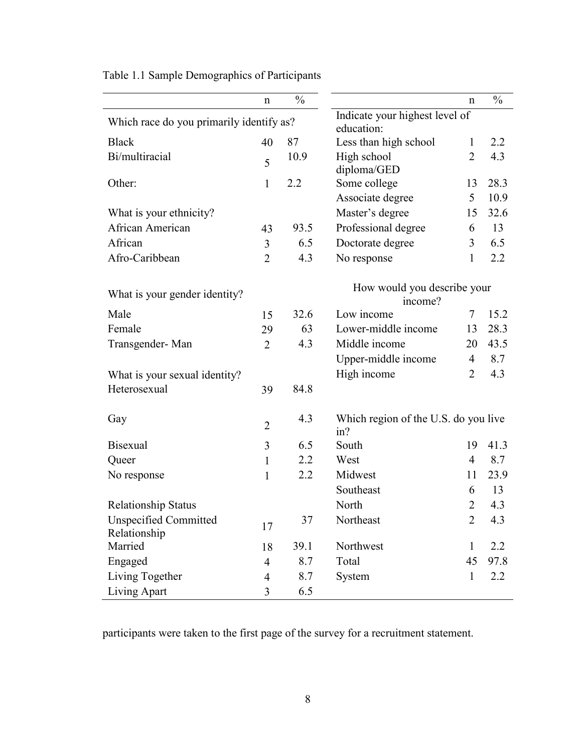|                                          | $\mathbf n$                    | $\frac{0}{0}$ |                                             | n              | $\frac{0}{0}$ |  |  |  |
|------------------------------------------|--------------------------------|---------------|---------------------------------------------|----------------|---------------|--|--|--|
|                                          | Indicate your highest level of |               |                                             |                |               |  |  |  |
| Which race do you primarily identify as? |                                |               | education:                                  |                |               |  |  |  |
| <b>Black</b>                             | 40                             | 87            | Less than high school                       | $\mathbf{1}$   | 2.2           |  |  |  |
| Bi/multiracial                           | 5                              | 10.9          | High school                                 | $\overline{2}$ | 4.3           |  |  |  |
|                                          |                                |               | diploma/GED                                 |                |               |  |  |  |
| Other:                                   | 1                              | 2.2           | Some college                                | 13             | 28.3          |  |  |  |
|                                          |                                |               | Associate degree                            | 5              | 10.9          |  |  |  |
| What is your ethnicity?                  |                                |               | Master's degree                             | 15             | 32.6          |  |  |  |
| African American                         | 43                             | 93.5          | Professional degree                         | 6              | 13            |  |  |  |
| African                                  | 3                              | 6.5           | Doctorate degree                            | 3              | 6.5           |  |  |  |
| Afro-Caribbean                           | $\overline{2}$                 | 4.3           | No response                                 | $\mathbf{1}$   | 2.2           |  |  |  |
| What is your gender identity?            |                                |               | How would you describe your<br>income?      |                |               |  |  |  |
| Male                                     | 15                             | 32.6          | Low income                                  | 7              | 15.2          |  |  |  |
| Female                                   | 29                             | 63            | Lower-middle income                         | 13             | 28.3          |  |  |  |
| Transgender-Man                          | $\overline{2}$                 | 4.3           | Middle income                               | 20             | 43.5          |  |  |  |
|                                          |                                |               | Upper-middle income                         | $\overline{4}$ | 8.7           |  |  |  |
| What is your sexual identity?            |                                |               | High income                                 | $\overline{2}$ | 4.3           |  |  |  |
| Heterosexual                             | 39                             | 84.8          |                                             |                |               |  |  |  |
| Gay                                      | $\overline{2}$                 | 4.3           | Which region of the U.S. do you live<br>in? |                |               |  |  |  |
| <b>Bisexual</b>                          | 3                              | 6.5           | South                                       | 19             | 41.3          |  |  |  |
| Queer                                    | $\mathbf{1}$                   | 2.2           | West                                        | $\overline{4}$ | 8.7           |  |  |  |
| No response                              | $\mathbf{1}$                   | 2.2           | Midwest                                     | 11             | 23.9          |  |  |  |
|                                          |                                |               | Southeast                                   | 6              | 13            |  |  |  |
| <b>Relationship Status</b>               |                                |               | North                                       | $\overline{2}$ | 4.3           |  |  |  |
| <b>Unspecified Committed</b>             |                                | 37            | Northeast                                   | $\overline{2}$ | 4.3           |  |  |  |
| Relationship                             | 17                             |               |                                             |                |               |  |  |  |
| Married                                  | 18                             | 39.1          | Northwest                                   | $\mathbf{1}$   | 2.2           |  |  |  |
| Engaged                                  | $\overline{4}$                 | 8.7           | Total                                       | 45             | 97.8          |  |  |  |
| Living Together                          | $\overline{4}$                 | 8.7           | System                                      | $\mathbf{1}$   | 2.2           |  |  |  |
| Living Apart                             | 3                              | 6.5           |                                             |                |               |  |  |  |

<span id="page-16-0"></span>Table 1.1 Sample Demographics of Participants

participants were taken to the first page of the survey for a recruitment statement.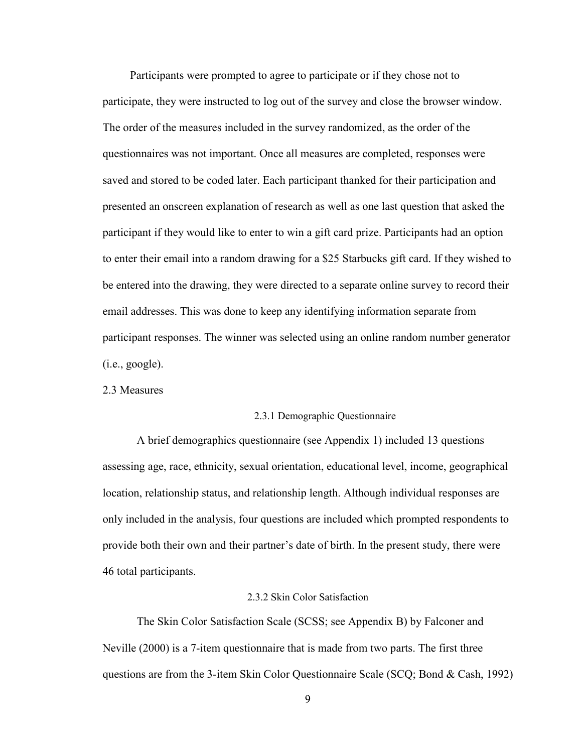Participants were prompted to agree to participate or if they chose not to participate, they were instructed to log out of the survey and close the browser window. The order of the measures included in the survey randomized, as the order of the questionnaires was not important. Once all measures are completed, responses were saved and stored to be coded later. Each participant thanked for their participation and presented an onscreen explanation of research as well as one last question that asked the participant if they would like to enter to win a gift card prize. Participants had an option to enter their email into a random drawing for a \$25 Starbucks gift card. If they wished to be entered into the drawing, they were directed to a separate online survey to record their email addresses. This was done to keep any identifying information separate from participant responses. The winner was selected using an online random number generator  $(i.e., good$ e.

<span id="page-17-0"></span>2.3 Measures

#### <span id="page-17-1"></span>2.3.1 Demographic Questionnaire

A brief demographics questionnaire (see Appendix 1) included 13 questions assessing age, race, ethnicity, sexual orientation, educational level, income, geographical location, relationship status, and relationship length. Although individual responses are only included in the analysis, four questions are included which prompted respondents to provide both their own and their partner's date of birth. In the present study, there were 46 total participants.

#### 2.3.2 Skin Color Satisfaction

<span id="page-17-2"></span>The Skin Color Satisfaction Scale (SCSS; see Appendix B) by Falconer and Neville (2000) is a 7-item questionnaire that is made from two parts. The first three questions are from the 3-item Skin Color Questionnaire Scale (SCQ; Bond & Cash, 1992)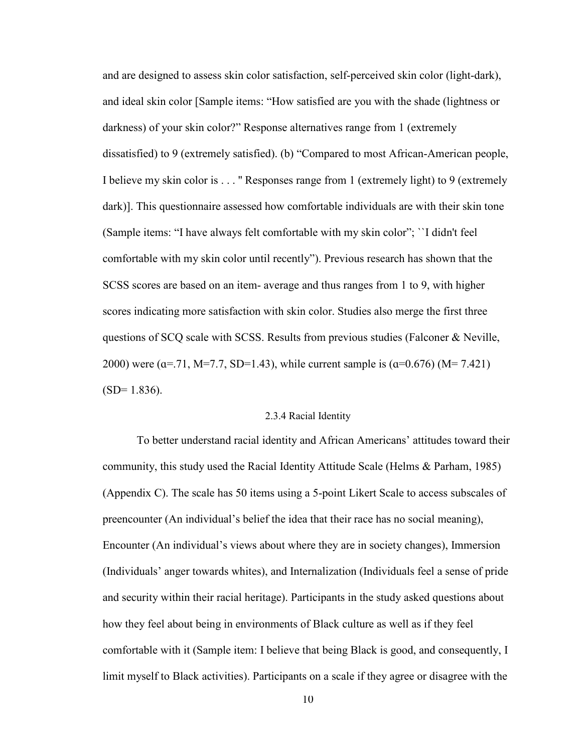and are designed to assess skin color satisfaction, self-perceived skin color (light-dark), and ideal skin color [Sample items: "How satisfied are you with the shade (lightness or darkness) of your skin color?" Response alternatives range from 1 (extremely dissatisfied) to 9 (extremely satisfied). (b) "Compared to most African-American people, I believe my skin color is . . . '' Responses range from 1 (extremely light) to 9 (extremely dark)]. This questionnaire assessed how comfortable individuals are with their skin tone (Sample items: "I have always felt comfortable with my skin color"; ``I didn't feel comfortable with my skin color until recently"). Previous research has shown that the SCSS scores are based on an item- average and thus ranges from 1 to 9, with higher scores indicating more satisfaction with skin color. Studies also merge the first three questions of SCQ scale with SCSS. Results from previous studies (Falconer  $\&$  Neville, 2000) were ( $\alpha$ =.71, M=7.7, SD=1.43), while current sample is ( $\alpha$ =0.676) (M= 7.421)  $(SD= 1.836)$ .

#### 2.3.4 Racial Identity

<span id="page-18-0"></span>To better understand racial identity and African Americans' attitudes toward their community, this study used the Racial Identity Attitude Scale (Helms & Parham, 1985) (Appendix C). The scale has 50 items using a 5-point Likert Scale to access subscales of preencounter (An individual's belief the idea that their race has no social meaning), Encounter (An individual's views about where they are in society changes), Immersion (Individuals' anger towards whites), and Internalization (Individuals feel a sense of pride and security within their racial heritage). Participants in the study asked questions about how they feel about being in environments of Black culture as well as if they feel comfortable with it (Sample item: I believe that being Black is good, and consequently, I limit myself to Black activities). Participants on a scale if they agree or disagree with the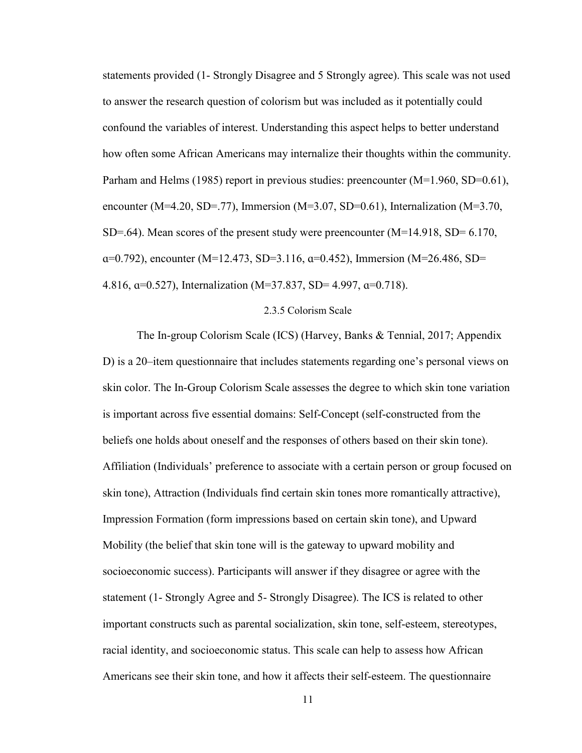statements provided (1- Strongly Disagree and 5 Strongly agree). This scale was not used to answer the research question of colorism but was included as it potentially could confound the variables of interest. Understanding this aspect helps to better understand how often some African Americans may internalize their thoughts within the community. Parham and Helms (1985) report in previous studies: preencounter (M=1.960, SD=0.61), encounter (M=4.20, SD=.77), Immersion (M=3.07, SD=0.61), Internalization (M=3.70, SD=.64). Mean scores of the present study were preencounter  $(M=14.918, SD= 6.170,$ ɑ=0.792), encounter (M=12.473, SD=3.116, ɑ=0.452), Immersion (M=26.486, SD= 4.816, ɑ=0.527), Internalization (M=37.837, SD= 4.997, ɑ=0.718).

#### 2.3.5 Colorism Scale

<span id="page-19-0"></span>The In-group Colorism Scale (ICS) (Harvey, Banks & Tennial, 2017; Appendix D) is a 20–item questionnaire that includes statements regarding one's personal views on skin color. The In-Group Colorism Scale assesses the degree to which skin tone variation is important across five essential domains: Self-Concept (self-constructed from the beliefs one holds about oneself and the responses of others based on their skin tone). Affiliation (Individuals' preference to associate with a certain person or group focused on skin tone), Attraction (Individuals find certain skin tones more romantically attractive), Impression Formation (form impressions based on certain skin tone), and Upward Mobility (the belief that skin tone will is the gateway to upward mobility and socioeconomic success). Participants will answer if they disagree or agree with the statement (1- Strongly Agree and 5- Strongly Disagree). The ICS is related to other important constructs such as parental socialization, skin tone, self-esteem, stereotypes, racial identity, and socioeconomic status. This scale can help to assess how African Americans see their skin tone, and how it affects their self-esteem. The questionnaire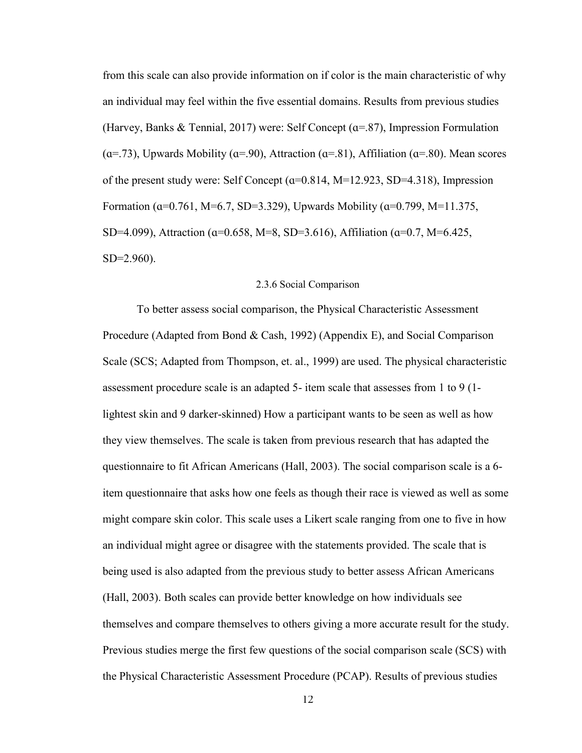from this scale can also provide information on if color is the main characteristic of why an individual may feel within the five essential domains. Results from previous studies (Harvey, Banks & Tennial, 2017) were: Self Concept (ɑ=.87), Impression Formulation  $(a=0.73)$ , Upwards Mobility  $(a=0.90)$ , Attraction  $(a=0.81)$ , Affiliation  $(a=0.80)$ . Mean scores of the present study were: Self Concept (ɑ=0.814, M=12.923, SD=4.318), Impression Formation ( $\alpha$ =0.761, M=6.7, SD=3.329), Upwards Mobility ( $\alpha$ =0.799, M=11.375, SD=4.099), Attraction (ɑ=0.658, M=8, SD=3.616), Affiliation (ɑ=0.7, M=6.425, SD=2.960).

#### 2.3.6 Social Comparison

<span id="page-20-0"></span>To better assess social comparison, the Physical Characteristic Assessment Procedure (Adapted from Bond & Cash, 1992) (Appendix E), and Social Comparison Scale (SCS; Adapted from Thompson, et. al., 1999) are used. The physical characteristic assessment procedure scale is an adapted 5- item scale that assesses from 1 to 9 (1 lightest skin and 9 darker-skinned) How a participant wants to be seen as well as how they view themselves. The scale is taken from previous research that has adapted the questionnaire to fit African Americans (Hall, 2003). The social comparison scale is a 6 item questionnaire that asks how one feels as though their race is viewed as well as some might compare skin color. This scale uses a Likert scale ranging from one to five in how an individual might agree or disagree with the statements provided. The scale that is being used is also adapted from the previous study to better assess African Americans (Hall, 2003). Both scales can provide better knowledge on how individuals see themselves and compare themselves to others giving a more accurate result for the study. Previous studies merge the first few questions of the social comparison scale (SCS) with the Physical Characteristic Assessment Procedure (PCAP). Results of previous studies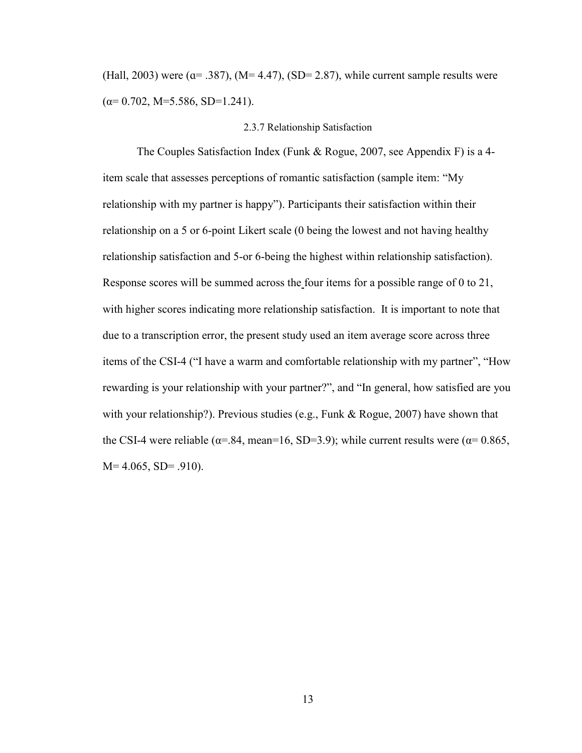(Hall, 2003) were  $(a= .387)$ ,  $(M= 4.47)$ ,  $(SD= 2.87)$ , while current sample results were  $(\alpha=0.702, M=5.586, SD=1.241).$ 

#### 2.3.7 Relationship Satisfaction

<span id="page-21-0"></span>The Couples Satisfaction Index (Funk & Rogue, 2007, see Appendix F) is a 4 item scale that assesses perceptions of romantic satisfaction (sample item: "My relationship with my partner is happy"). Participants their satisfaction within their relationship on a 5 or 6-point Likert scale (0 being the lowest and not having healthy relationship satisfaction and 5-or 6-being the highest within relationship satisfaction). Response scores will be summed across the four items for a possible range of 0 to 21, with higher scores indicating more relationship satisfaction. It is important to note that due to a transcription error, the present study used an item average score across three items of the CSI-4 ("I have a warm and comfortable relationship with my partner", "How rewarding is your relationship with your partner?", and "In general, how satisfied are you with your relationship?). Previous studies (e.g., Funk & Rogue, 2007) have shown that the CSI-4 were reliable ( $\alpha$ =.84, mean=16, SD=3.9); while current results were ( $\alpha$ = 0.865,  $M= 4.065$ , SD= .910).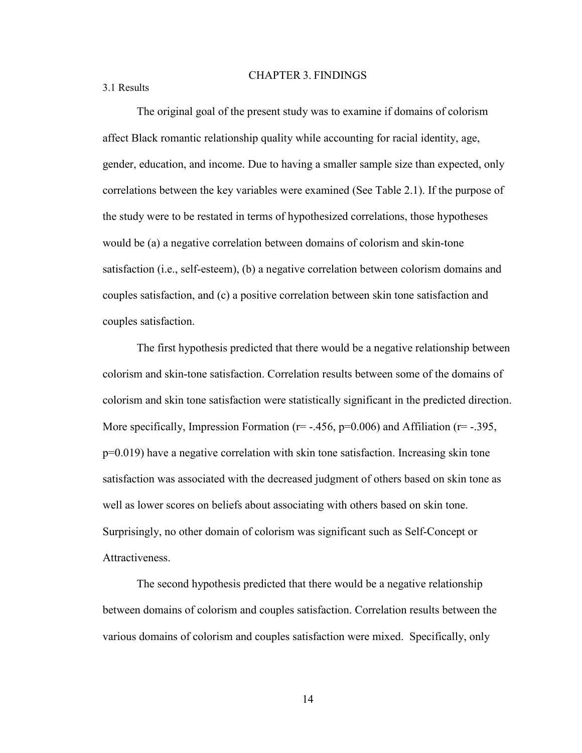#### CHAPTER 3. FINDINGS

<span id="page-22-1"></span><span id="page-22-0"></span>3.1 Results

The original goal of the present study was to examine if domains of colorism affect Black romantic relationship quality while accounting for racial identity, age, gender, education, and income. Due to having a smaller sample size than expected, only correlations between the key variables were examined (See Table 2.1). If the purpose of the study were to be restated in terms of hypothesized correlations, those hypotheses would be (a) a negative correlation between domains of colorism and skin-tone satisfaction (i.e., self-esteem), (b) a negative correlation between colorism domains and couples satisfaction, and (c) a positive correlation between skin tone satisfaction and couples satisfaction.

The first hypothesis predicted that there would be a negative relationship between colorism and skin-tone satisfaction. Correlation results between some of the domains of colorism and skin tone satisfaction were statistically significant in the predicted direction. More specifically, Impression Formation ( $r = -456$ ,  $p = 0.006$ ) and Affiliation ( $r = -395$ , p=0.019) have a negative correlation with skin tone satisfaction. Increasing skin tone satisfaction was associated with the decreased judgment of others based on skin tone as well as lower scores on beliefs about associating with others based on skin tone. Surprisingly, no other domain of colorism was significant such as Self-Concept or **Attractiveness** 

The second hypothesis predicted that there would be a negative relationship between domains of colorism and couples satisfaction. Correlation results between the various domains of colorism and couples satisfaction were mixed. Specifically, only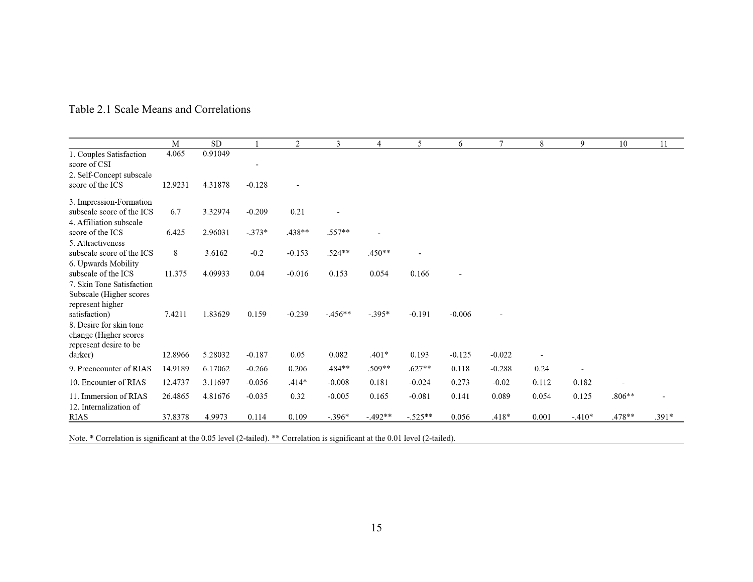<span id="page-23-0"></span>

|                                         | M       | SD      |                              | 2                        | 3        | 4         | 5         | 6              | $\overline{7}$ | 8     | 9              | 10       | 11      |
|-----------------------------------------|---------|---------|------------------------------|--------------------------|----------|-----------|-----------|----------------|----------------|-------|----------------|----------|---------|
| 1. Couples Satisfaction<br>score of CSI | 4.065   | 0.91049 | $\qquad \qquad \blacksquare$ |                          |          |           |           |                |                |       |                |          |         |
|                                         |         |         |                              |                          |          |           |           |                |                |       |                |          |         |
| 2. Self-Concept subscale                |         |         |                              |                          |          |           |           |                |                |       |                |          |         |
| score of the ICS                        | 12.9231 | 4.31878 | $-0.128$                     | $\overline{\phantom{0}}$ |          |           |           |                |                |       |                |          |         |
| 3. Impression-Formation                 |         |         |                              |                          |          |           |           |                |                |       |                |          |         |
| subscale score of the ICS               | 6.7     | 3.32974 | $-0.209$                     | 0.21                     |          |           |           |                |                |       |                |          |         |
| 4. Affiliation subscale                 |         |         |                              |                          |          |           |           |                |                |       |                |          |         |
| score of the ICS                        | 6.425   | 2.96031 | $-.373*$                     | .438**                   | $.557**$ |           |           |                |                |       |                |          |         |
| 5. Attractiveness                       |         |         |                              |                          |          |           |           |                |                |       |                |          |         |
| subscale score of the ICS               | 8       | 3.6162  | $-0.2$                       | $-0.153$                 | $.524**$ | $.450**$  |           |                |                |       |                |          |         |
| 6. Upwards Mobility                     |         |         |                              |                          |          |           |           |                |                |       |                |          |         |
| subscale of the ICS                     | 11.375  | 4.09933 | 0.04                         | $-0.016$                 | 0.153    | 0.054     | 0.166     | $\overline{a}$ |                |       |                |          |         |
| 7. Skin Tone Satisfaction               |         |         |                              |                          |          |           |           |                |                |       |                |          |         |
| Subscale (Higher scores                 |         |         |                              |                          |          |           |           |                |                |       |                |          |         |
| represent higher                        |         |         |                              |                          |          |           |           |                |                |       |                |          |         |
| satisfaction)                           | 7.4211  | 1.83629 | 0.159                        | $-0.239$                 | $-456**$ | $-.395*$  | $-0.191$  | $-0.006$       |                |       |                |          |         |
| 8. Desire for skin tone                 |         |         |                              |                          |          |           |           |                |                |       |                |          |         |
| change (Higher scores                   |         |         |                              |                          |          |           |           |                |                |       |                |          |         |
| represent desire to be                  |         |         |                              |                          |          |           |           |                |                |       |                |          |         |
| darker)                                 | 12.8966 | 5.28032 | $-0.187$                     | 0.05                     | 0.082    | $.401*$   | 0.193     | $-0.125$       | $-0.022$       |       |                |          |         |
| 9. Preencounter of RIAS                 | 14.9189 | 6.17062 | $-0.266$                     | 0.206                    | .484**   | $.509**$  | $.627**$  | 0.118          | $-0.288$       | 0.24  | $\overline{a}$ |          |         |
| 10. Encounter of RIAS                   | 12.4737 | 3.11697 | $-0.056$                     | $.414*$                  | $-0.008$ | 0.181     | $-0.024$  | 0.273          | $-0.02$        | 0.112 | 0.182          | ÷,       |         |
|                                         |         |         |                              |                          |          |           |           |                |                |       |                |          |         |
| 11. Immersion of RIAS                   | 26.4865 | 4.81676 | $-0.035$                     | 0.32                     | $-0.005$ | 0.165     | $-0.081$  | 0.141          | 0.089          | 0.054 | 0.125          | $.806**$ |         |
| 12. Internalization of                  |         |         |                              |                          |          |           |           |                |                |       |                |          |         |
| <b>RIAS</b>                             | 37.8378 | 4.9973  | 0.114                        | 0.109                    | $-.396*$ | $-.492**$ | $-.525**$ | 0.056          | $.418*$        | 0.001 | $-.410*$       | .478**   | $.391*$ |

## Table 2.1 Scale Means and Correlations

Note. \* Correlation is significant at the 0.05 level (2-tailed). \*\* Correlation is significant at the 0.01 level (2-tailed).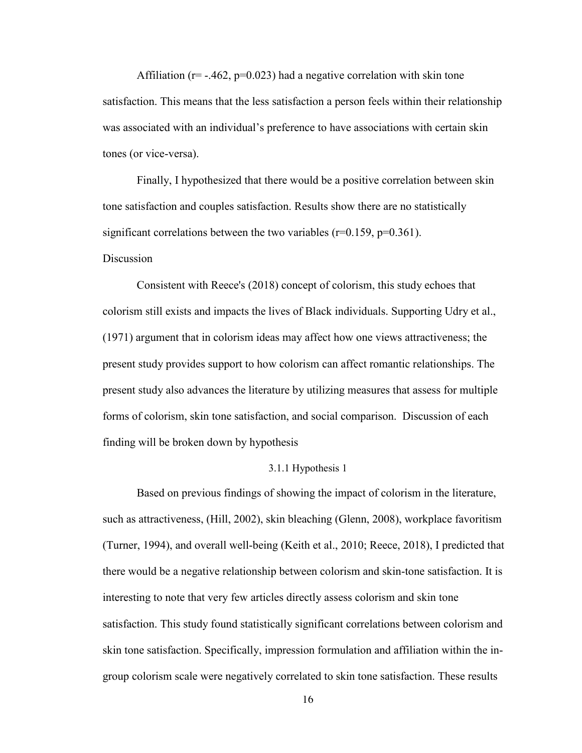Affiliation ( $r = -0.462$ ,  $p = 0.023$ ) had a negative correlation with skin tone satisfaction. This means that the less satisfaction a person feels within their relationship was associated with an individual's preference to have associations with certain skin tones (or vice-versa).

Finally, I hypothesized that there would be a positive correlation between skin tone satisfaction and couples satisfaction. Results show there are no statistically significant correlations between the two variables ( $r=0.159$ ,  $p=0.361$ ).

#### **Discussion**

Consistent with Reece's (2018) concept of colorism, this study echoes that colorism still exists and impacts the lives of Black individuals. Supporting Udry et al., (1971) argument that in colorism ideas may affect how one views attractiveness; the present study provides support to how colorism can affect romantic relationships. The present study also advances the literature by utilizing measures that assess for multiple forms of colorism, skin tone satisfaction, and social comparison. Discussion of each finding will be broken down by hypothesis

#### 3.1.1 Hypothesis 1

<span id="page-24-0"></span>Based on previous findings of showing the impact of colorism in the literature, such as attractiveness, (Hill, 2002), skin bleaching (Glenn, 2008), workplace favoritism (Turner, 1994), and overall well-being (Keith et al., 2010; Reece, 2018), I predicted that there would be a negative relationship between colorism and skin-tone satisfaction. It is interesting to note that very few articles directly assess colorism and skin tone satisfaction. This study found statistically significant correlations between colorism and skin tone satisfaction. Specifically, impression formulation and affiliation within the ingroup colorism scale were negatively correlated to skin tone satisfaction. These results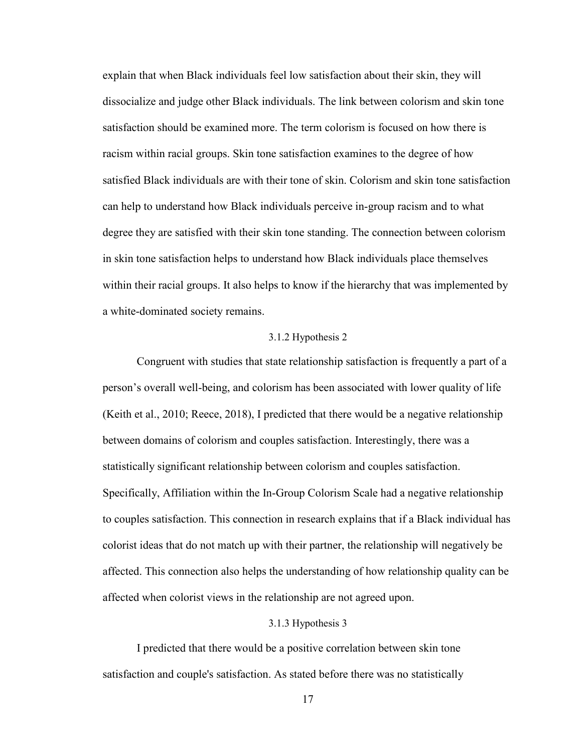explain that when Black individuals feel low satisfaction about their skin, they will dissocialize and judge other Black individuals. The link between colorism and skin tone satisfaction should be examined more. The term colorism is focused on how there is racism within racial groups. Skin tone satisfaction examines to the degree of how satisfied Black individuals are with their tone of skin. Colorism and skin tone satisfaction can help to understand how Black individuals perceive in-group racism and to what degree they are satisfied with their skin tone standing. The connection between colorism in skin tone satisfaction helps to understand how Black individuals place themselves within their racial groups. It also helps to know if the hierarchy that was implemented by a white-dominated society remains.

#### 3.1.2 Hypothesis 2

<span id="page-25-0"></span>Congruent with studies that state relationship satisfaction is frequently a part of a person's overall well-being, and colorism has been associated with lower quality of life (Keith et al., 2010; Reece, 2018), I predicted that there would be a negative relationship between domains of colorism and couples satisfaction. Interestingly, there was a statistically significant relationship between colorism and couples satisfaction. Specifically, Affiliation within the In-Group Colorism Scale had a negative relationship to couples satisfaction. This connection in research explains that if a Black individual has colorist ideas that do not match up with their partner, the relationship will negatively be affected. This connection also helps the understanding of how relationship quality can be affected when colorist views in the relationship are not agreed upon.

#### 3.1.3 Hypothesis 3

<span id="page-25-1"></span>I predicted that there would be a positive correlation between skin tone satisfaction and couple's satisfaction. As stated before there was no statistically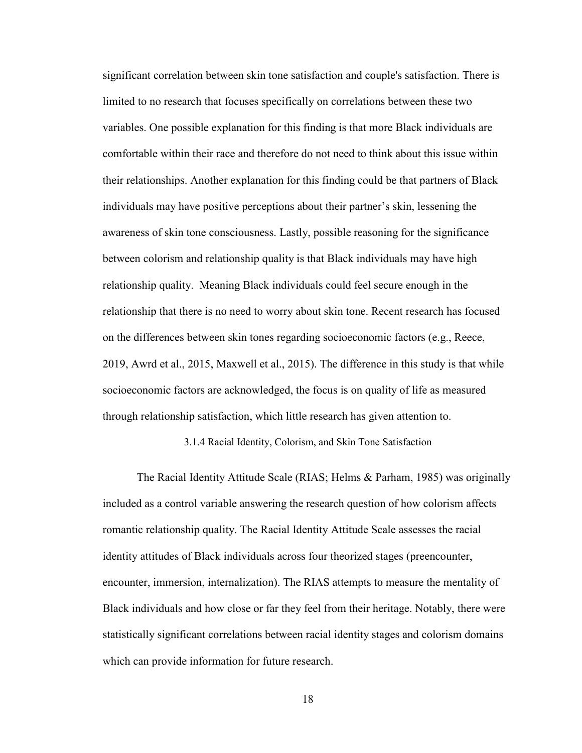significant correlation between skin tone satisfaction and couple's satisfaction. There is limited to no research that focuses specifically on correlations between these two variables. One possible explanation for this finding is that more Black individuals are comfortable within their race and therefore do not need to think about this issue within their relationships. Another explanation for this finding could be that partners of Black individuals may have positive perceptions about their partner's skin, lessening the awareness of skin tone consciousness. Lastly, possible reasoning for the significance between colorism and relationship quality is that Black individuals may have high relationship quality. Meaning Black individuals could feel secure enough in the relationship that there is no need to worry about skin tone. Recent research has focused on the differences between skin tones regarding socioeconomic factors (e.g., Reece, 2019, Awrd et al., 2015, Maxwell et al., 2015). The difference in this study is that while socioeconomic factors are acknowledged, the focus is on quality of life as measured through relationship satisfaction, which little research has given attention to.

3.1.4 Racial Identity, Colorism, and Skin Tone Satisfaction

<span id="page-26-0"></span>The Racial Identity Attitude Scale (RIAS; Helms & Parham, 1985) was originally included as a control variable answering the research question of how colorism affects romantic relationship quality. The Racial Identity Attitude Scale assesses the racial identity attitudes of Black individuals across four theorized stages (preencounter, encounter, immersion, internalization). The RIAS attempts to measure the mentality of Black individuals and how close or far they feel from their heritage. Notably, there were statistically significant correlations between racial identity stages and colorism domains which can provide information for future research.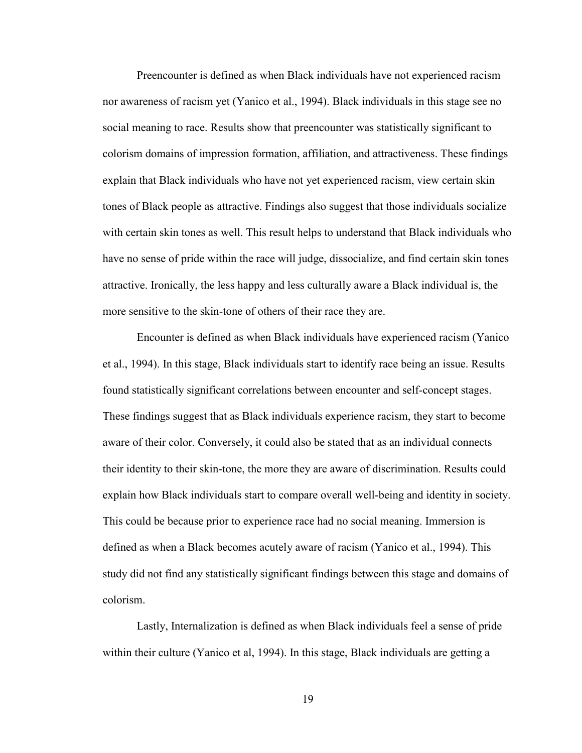Preencounter is defined as when Black individuals have not experienced racism nor awareness of racism yet (Yanico et al., 1994). Black individuals in this stage see no social meaning to race. Results show that preencounter was statistically significant to colorism domains of impression formation, affiliation, and attractiveness. These findings explain that Black individuals who have not yet experienced racism, view certain skin tones of Black people as attractive. Findings also suggest that those individuals socialize with certain skin tones as well. This result helps to understand that Black individuals who have no sense of pride within the race will judge, dissocialize, and find certain skin tones attractive. Ironically, the less happy and less culturally aware a Black individual is, the more sensitive to the skin-tone of others of their race they are.

Encounter is defined as when Black individuals have experienced racism (Yanico et al., 1994). In this stage, Black individuals start to identify race being an issue. Results found statistically significant correlations between encounter and self-concept stages. These findings suggest that as Black individuals experience racism, they start to become aware of their color. Conversely, it could also be stated that as an individual connects their identity to their skin-tone, the more they are aware of discrimination. Results could explain how Black individuals start to compare overall well-being and identity in society. This could be because prior to experience race had no social meaning. Immersion is defined as when a Black becomes acutely aware of racism (Yanico et al., 1994). This study did not find any statistically significant findings between this stage and domains of colorism.

Lastly, Internalization is defined as when Black individuals feel a sense of pride within their culture (Yanico et al, 1994). In this stage, Black individuals are getting a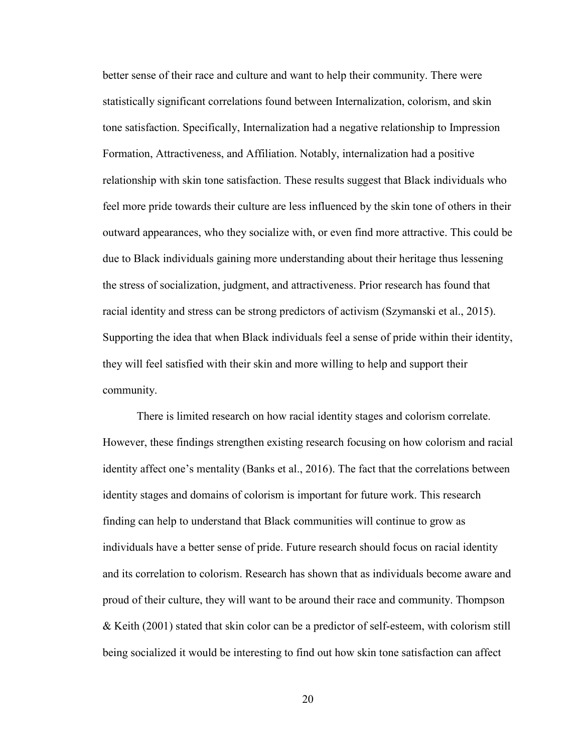better sense of their race and culture and want to help their community. There were statistically significant correlations found between Internalization, colorism, and skin tone satisfaction. Specifically, Internalization had a negative relationship to Impression Formation, Attractiveness, and Affiliation. Notably, internalization had a positive relationship with skin tone satisfaction. These results suggest that Black individuals who feel more pride towards their culture are less influenced by the skin tone of others in their outward appearances, who they socialize with, or even find more attractive. This could be due to Black individuals gaining more understanding about their heritage thus lessening the stress of socialization, judgment, and attractiveness. Prior research has found that racial identity and stress can be strong predictors of activism (Szymanski et al., 2015). Supporting the idea that when Black individuals feel a sense of pride within their identity, they will feel satisfied with their skin and more willing to help and support their community.

There is limited research on how racial identity stages and colorism correlate. However, these findings strengthen existing research focusing on how colorism and racial identity affect one's mentality (Banks et al., 2016). The fact that the correlations between identity stages and domains of colorism is important for future work. This research finding can help to understand that Black communities will continue to grow as individuals have a better sense of pride. Future research should focus on racial identity and its correlation to colorism. Research has shown that as individuals become aware and proud of their culture, they will want to be around their race and community. Thompson & Keith (2001) stated that skin color can be a predictor of self-esteem, with colorism still being socialized it would be interesting to find out how skin tone satisfaction can affect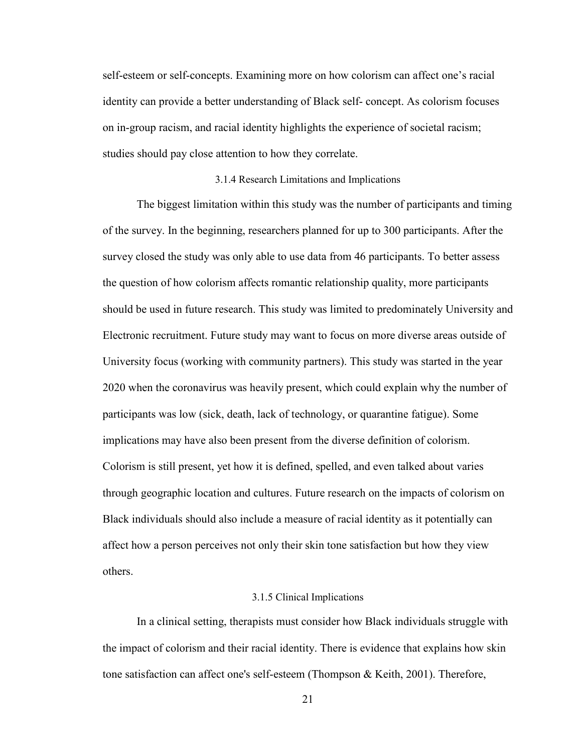self-esteem or self-concepts. Examining more on how colorism can affect one's racial identity can provide a better understanding of Black self- concept. As colorism focuses on in-group racism, and racial identity highlights the experience of societal racism; studies should pay close attention to how they correlate.

#### 3.1.4 Research Limitations and Implications

<span id="page-29-0"></span>The biggest limitation within this study was the number of participants and timing of the survey. In the beginning, researchers planned for up to 300 participants. After the survey closed the study was only able to use data from 46 participants. To better assess the question of how colorism affects romantic relationship quality, more participants should be used in future research. This study was limited to predominately University and Electronic recruitment. Future study may want to focus on more diverse areas outside of University focus (working with community partners). This study was started in the year 2020 when the coronavirus was heavily present, which could explain why the number of participants was low (sick, death, lack of technology, or quarantine fatigue). Some implications may have also been present from the diverse definition of colorism. Colorism is still present, yet how it is defined, spelled, and even talked about varies through geographic location and cultures. Future research on the impacts of colorism on Black individuals should also include a measure of racial identity as it potentially can affect how a person perceives not only their skin tone satisfaction but how they view others.

#### 3.1.5 Clinical Implications

<span id="page-29-1"></span>In a clinical setting, therapists must consider how Black individuals struggle with the impact of colorism and their racial identity. There is evidence that explains how skin tone satisfaction can affect one's self-esteem (Thompson & Keith, 2001). Therefore,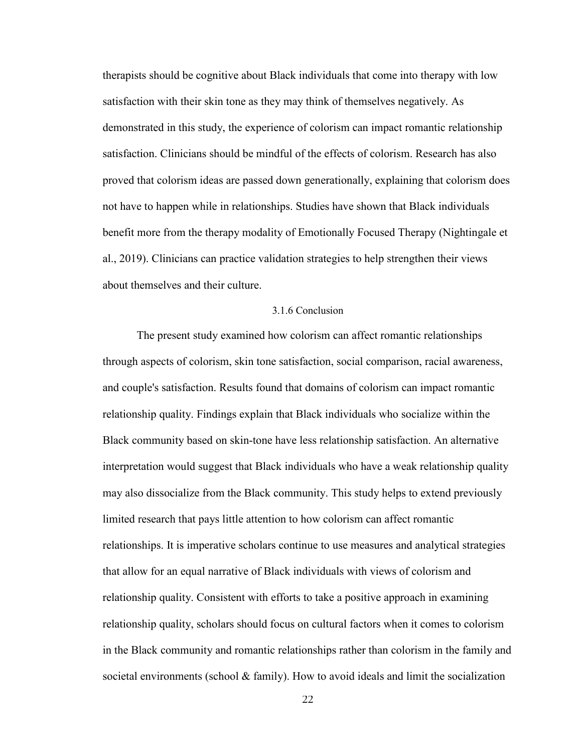therapists should be cognitive about Black individuals that come into therapy with low satisfaction with their skin tone as they may think of themselves negatively. As demonstrated in this study, the experience of colorism can impact romantic relationship satisfaction. Clinicians should be mindful of the effects of colorism. Research has also proved that colorism ideas are passed down generationally, explaining that colorism does not have to happen while in relationships. Studies have shown that Black individuals benefit more from the therapy modality of Emotionally Focused Therapy (Nightingale et al., 2019). Clinicians can practice validation strategies to help strengthen their views about themselves and their culture.

#### 3.1.6 Conclusion

<span id="page-30-0"></span>The present study examined how colorism can affect romantic relationships through aspects of colorism, skin tone satisfaction, social comparison, racial awareness, and couple's satisfaction. Results found that domains of colorism can impact romantic relationship quality. Findings explain that Black individuals who socialize within the Black community based on skin-tone have less relationship satisfaction. An alternative interpretation would suggest that Black individuals who have a weak relationship quality may also dissocialize from the Black community. This study helps to extend previously limited research that pays little attention to how colorism can affect romantic relationships. It is imperative scholars continue to use measures and analytical strategies that allow for an equal narrative of Black individuals with views of colorism and relationship quality. Consistent with efforts to take a positive approach in examining relationship quality, scholars should focus on cultural factors when it comes to colorism in the Black community and romantic relationships rather than colorism in the family and societal environments (school  $\&$  family). How to avoid ideals and limit the socialization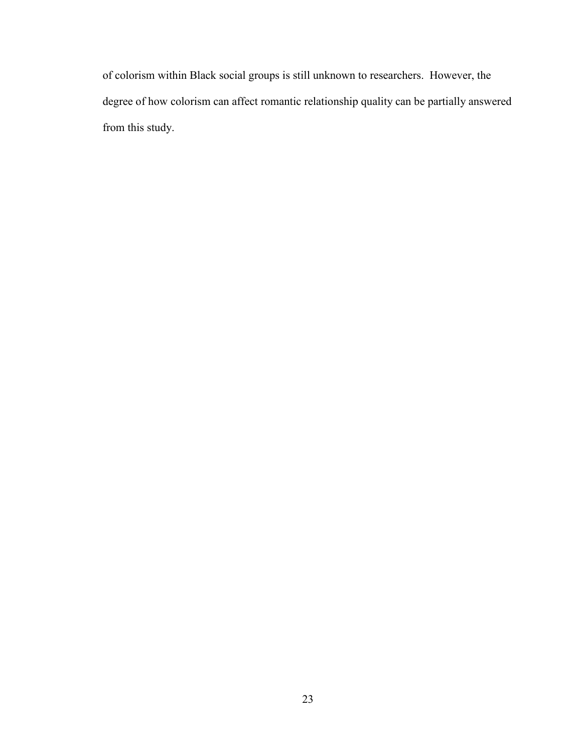of colorism within Black social groups is still unknown to researchers. However, the degree of how colorism can affect romantic relationship quality can be partially answered from this study.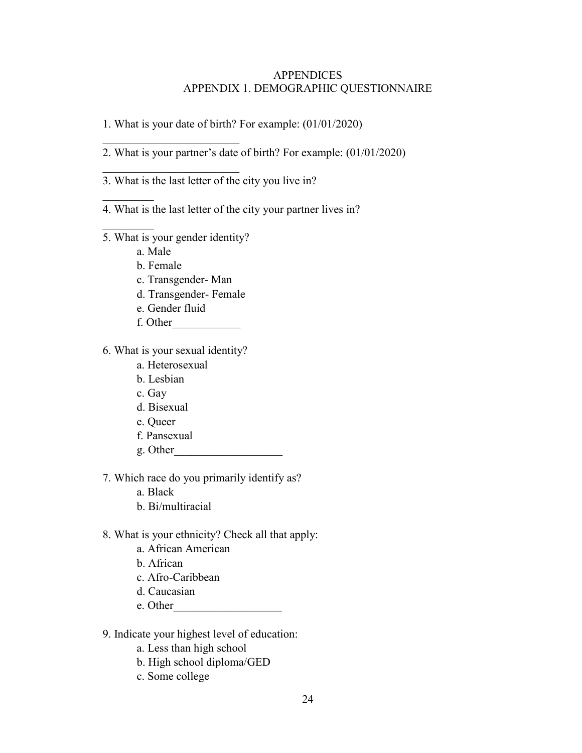#### APPENDICES APPENDIX 1. DEMOGRAPHIC QUESTIONNAIRE

- <span id="page-32-1"></span><span id="page-32-0"></span>1. What is your date of birth? For example: (01/01/2020)
- 2. What is your partner's date of birth? For example: (01/01/2020)
- 3. What is the last letter of the city you live in?

## 4. What is the last letter of the city your partner lives in?

5. What is your gender identity?

 $\overline{\phantom{a}}$  , which is a set of the set of the set of the set of the set of the set of the set of the set of the set of the set of the set of the set of the set of the set of the set of the set of the set of the set of th

 $\overline{\phantom{a}}$  , which is a set of the set of the set of the set of the set of the set of the set of the set of the set of the set of the set of the set of the set of the set of the set of the set of the set of the set of th

a. Male

 $\frac{1}{2}$ 

 $\frac{1}{2}$ 

- b. Female
- c. Transgender- Man
- d. Transgender- Female
- e. Gender fluid
- f. Other\_\_\_\_\_\_\_\_\_\_\_\_
- 6. What is your sexual identity?
	- a. Heterosexual
	- b. Lesbian
	- c. Gay
	- d. Bisexual
	- e. Queer
	- f. Pansexual
	- g. Other\_\_\_\_\_\_\_\_\_\_\_\_\_\_\_\_\_\_\_
- 7. Which race do you primarily identify as?
	- a. Black
	- b. Bi/multiracial
- 8. What is your ethnicity? Check all that apply:
	- a. African American
	- b. African
	- c. Afro-Caribbean
	- d. Caucasian
	- e. Other\_\_\_\_\_\_\_\_\_\_\_\_\_\_\_\_\_\_\_
- 9. Indicate your highest level of education:
	- a. Less than high school
	- b. High school diploma/GED
	- c. Some college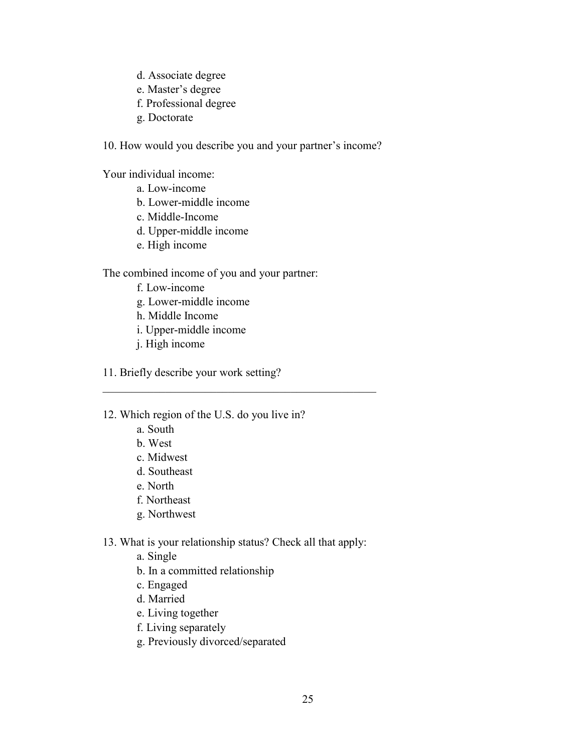- d. Associate degree
- e. Master's degree
- f. Professional degree
- g. Doctorate

10. How would you describe you and your partner's income?

Your individual income:

- a. Low-income
- b. Lower-middle income
- c. Middle-Income
- d. Upper-middle income
- e. High income

The combined income of you and your partner:

- f. Low-income
- g. Lower-middle income
- h. Middle Income
- i. Upper-middle income
- j. High income
- 11. Briefly describe your work setting?

12. Which region of the U.S. do you live in?

- a. South
- b. West
- c. Midwest
- d. Southeast
- e. North
- f. Northeast
- g. Northwest
- 13. What is your relationship status? Check all that apply:

\_\_\_\_\_\_\_\_\_\_\_\_\_\_\_\_\_\_\_\_\_\_\_\_\_\_\_\_\_\_\_\_\_\_\_\_\_\_\_\_\_\_\_\_\_\_\_\_

- a. Single
- b. In a committed relationship
- c. Engaged
- d. Married
- e. Living together
- f. Living separately
- g. Previously divorced/separated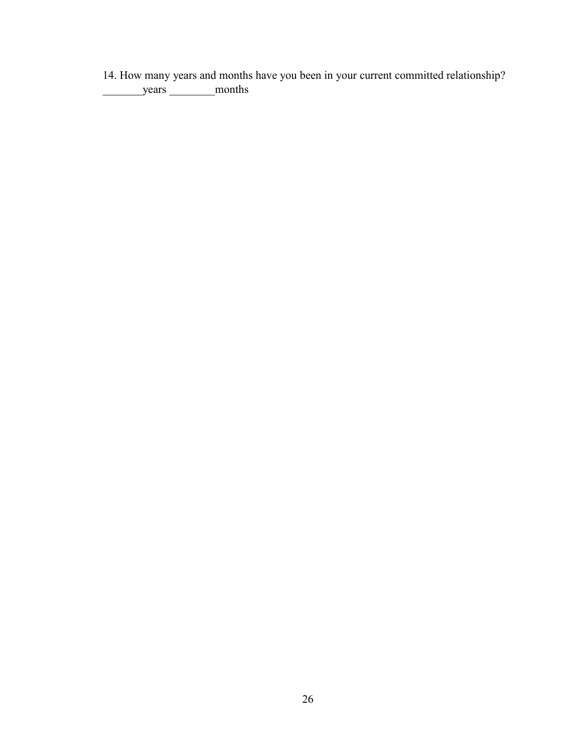14. How many years and months have you been in your current committed relationship? \_\_\_\_\_\_\_years \_\_\_\_\_\_\_\_months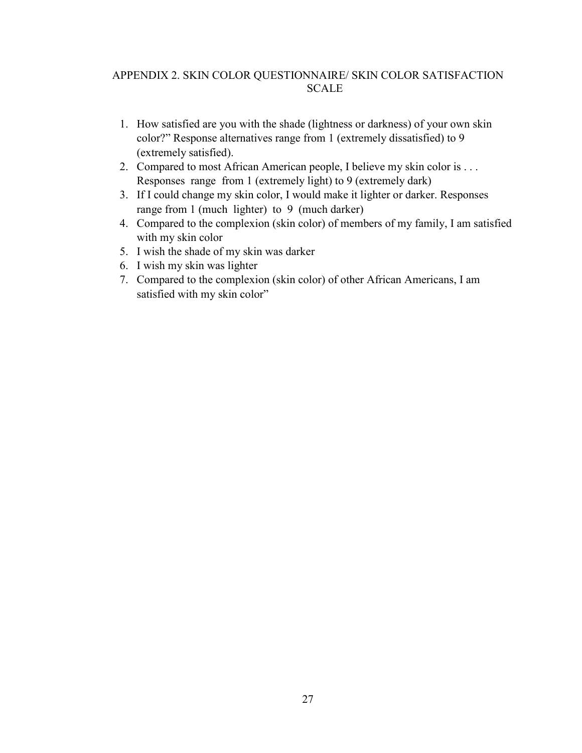## <span id="page-35-0"></span>APPENDIX 2. SKIN COLOR QUESTIONNAIRE/ SKIN COLOR SATISFACTION SCALE

- 1. How satisfied are you with the shade (lightness or darkness) of your own skin color?" Response alternatives range from 1 (extremely dissatisfied) to 9 (extremely satisfied).
- 2. Compared to most African American people, I believe my skin color is . . . Responses range from 1 (extremely light) to 9 (extremely dark)
- 3. If I could change my skin color, I would make it lighter or darker. Responses range from 1 (much lighter) to 9 (much darker)
- 4. Compared to the complexion (skin color) of members of my family, I am satisfied with my skin color
- 5. I wish the shade of my skin was darker
- 6. I wish my skin was lighter
- 7. Compared to the complexion (skin color) of other African Americans, I am satisfied with my skin color"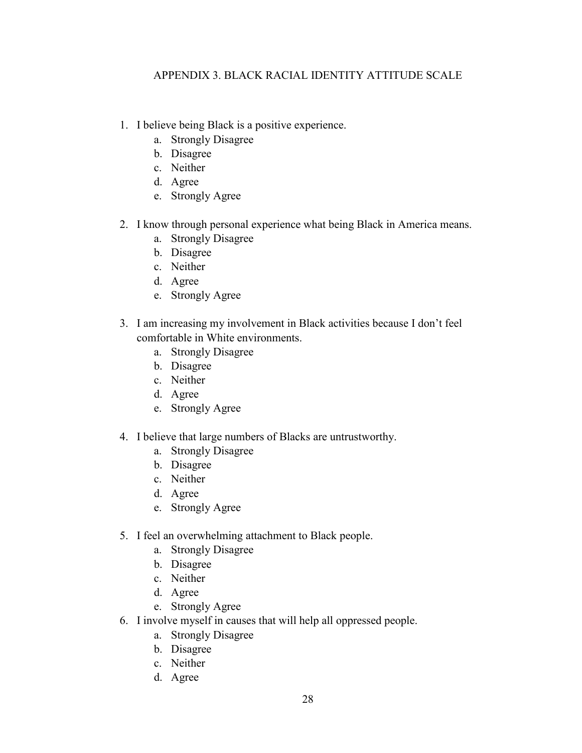## <span id="page-36-0"></span>APPENDIX 3. BLACK RACIAL IDENTITY ATTITUDE SCALE

- 1. I believe being Black is a positive experience.
	- a. Strongly Disagree
	- b. Disagree
	- c. Neither
	- d. Agree
	- e. Strongly Agree
- 2. I know through personal experience what being Black in America means.
	- a. Strongly Disagree
	- b. Disagree
	- c. Neither
	- d. Agree
	- e. Strongly Agree
- 3. I am increasing my involvement in Black activities because I don't feel comfortable in White environments.
	- a. Strongly Disagree
	- b. Disagree
	- c. Neither
	- d. Agree
	- e. Strongly Agree
- 4. I believe that large numbers of Blacks are untrustworthy.
	- a. Strongly Disagree
	- b. Disagree
	- c. Neither
	- d. Agree
	- e. Strongly Agree
- 5. I feel an overwhelming attachment to Black people.
	- a. Strongly Disagree
	- b. Disagree
	- c. Neither
	- d. Agree
	- e. Strongly Agree
- 6. I involve myself in causes that will help all oppressed people.
	- a. Strongly Disagree
	- b. Disagree
	- c. Neither
	- d. Agree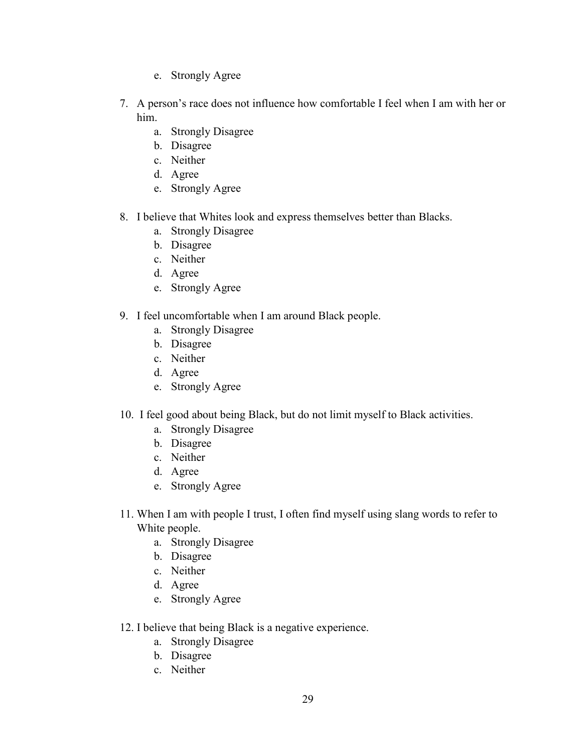- e. Strongly Agree
- 7. A person's race does not influence how comfortable I feel when I am with her or him.
	- a. Strongly Disagree
	- b. Disagree
	- c. Neither
	- d. Agree
	- e. Strongly Agree
- 8. I believe that Whites look and express themselves better than Blacks.
	- a. Strongly Disagree
	- b. Disagree
	- c. Neither
	- d. Agree
	- e. Strongly Agree
- 9. I feel uncomfortable when I am around Black people.
	- a. Strongly Disagree
	- b. Disagree
	- c. Neither
	- d. Agree
	- e. Strongly Agree
- 10. I feel good about being Black, but do not limit myself to Black activities.
	- a. Strongly Disagree
	- b. Disagree
	- c. Neither
	- d. Agree
	- e. Strongly Agree
- 11. When I am with people I trust, I often find myself using slang words to refer to White people.
	- a. Strongly Disagree
	- b. Disagree
	- c. Neither
	- d. Agree
	- e. Strongly Agree
- 12. I believe that being Black is a negative experience.
	- a. Strongly Disagree
	- b. Disagree
	- c. Neither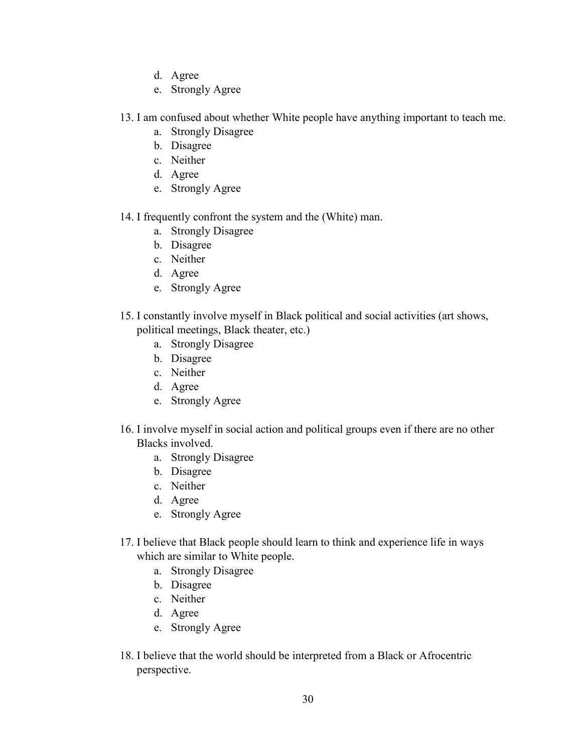- d. Agree
- e. Strongly Agree
- 13. I am confused about whether White people have anything important to teach me.
	- a. Strongly Disagree
	- b. Disagree
	- c. Neither
	- d. Agree
	- e. Strongly Agree
- 14. I frequently confront the system and the (White) man.
	- a. Strongly Disagree
	- b. Disagree
	- c. Neither
	- d. Agree
	- e. Strongly Agree
- 15. I constantly involve myself in Black political and social activities (art shows, political meetings, Black theater, etc.)
	- a. Strongly Disagree
	- b. Disagree
	- c. Neither
	- d. Agree
	- e. Strongly Agree
- 16. I involve myself in social action and political groups even if there are no other Blacks involved.
	- a. Strongly Disagree
	- b. Disagree
	- c. Neither
	- d. Agree
	- e. Strongly Agree
- 17. I believe that Black people should learn to think and experience life in ways which are similar to White people.
	- a. Strongly Disagree
	- b. Disagree
	- c. Neither
	- d. Agree
	- e. Strongly Agree
- 18. I believe that the world should be interpreted from a Black or Afrocentric perspective.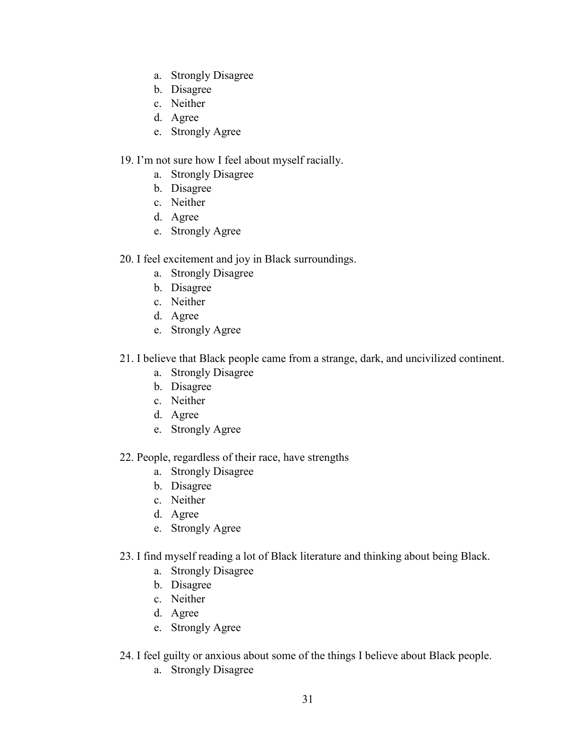- a. Strongly Disagree
- b. Disagree
- c. Neither
- d. Agree
- e. Strongly Agree

## 19. I'm not sure how I feel about myself racially.

- a. Strongly Disagree
- b. Disagree
- c. Neither
- d. Agree
- e. Strongly Agree
- 20. I feel excitement and joy in Black surroundings.
	- a. Strongly Disagree
	- b. Disagree
	- c. Neither
	- d. Agree
	- e. Strongly Agree
- 21. I believe that Black people came from a strange, dark, and uncivilized continent.
	- a. Strongly Disagree
	- b. Disagree
	- c. Neither
	- d. Agree
	- e. Strongly Agree
- 22. People, regardless of their race, have strengths
	- a. Strongly Disagree
	- b. Disagree
	- c. Neither
	- d. Agree
	- e. Strongly Agree
- 23. I find myself reading a lot of Black literature and thinking about being Black.
	- a. Strongly Disagree
	- b. Disagree
	- c. Neither
	- d. Agree
	- e. Strongly Agree
- 24. I feel guilty or anxious about some of the things I believe about Black people.
	- a. Strongly Disagree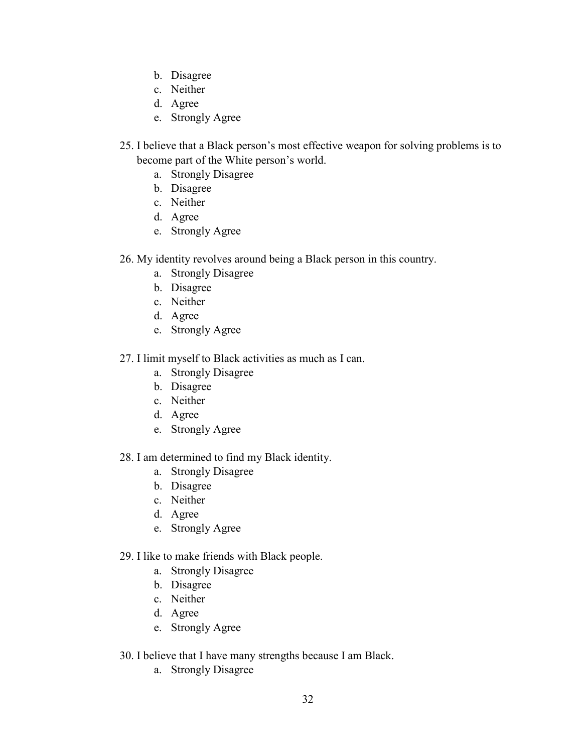- b. Disagree
- c. Neither
- d. Agree
- e. Strongly Agree
- 25. I believe that a Black person's most effective weapon for solving problems is to become part of the White person's world.
	- a. Strongly Disagree
	- b. Disagree
	- c. Neither
	- d. Agree
	- e. Strongly Agree
- 26. My identity revolves around being a Black person in this country.
	- a. Strongly Disagree
	- b. Disagree
	- c. Neither
	- d. Agree
	- e. Strongly Agree
- 27. I limit myself to Black activities as much as I can.
	- a. Strongly Disagree
	- b. Disagree
	- c. Neither
	- d. Agree
	- e. Strongly Agree
- 28. I am determined to find my Black identity.
	- a. Strongly Disagree
	- b. Disagree
	- c. Neither
	- d. Agree
	- e. Strongly Agree
- 29. I like to make friends with Black people.
	- a. Strongly Disagree
	- b. Disagree
	- c. Neither
	- d. Agree
	- e. Strongly Agree
- 30. I believe that I have many strengths because I am Black.
	- a. Strongly Disagree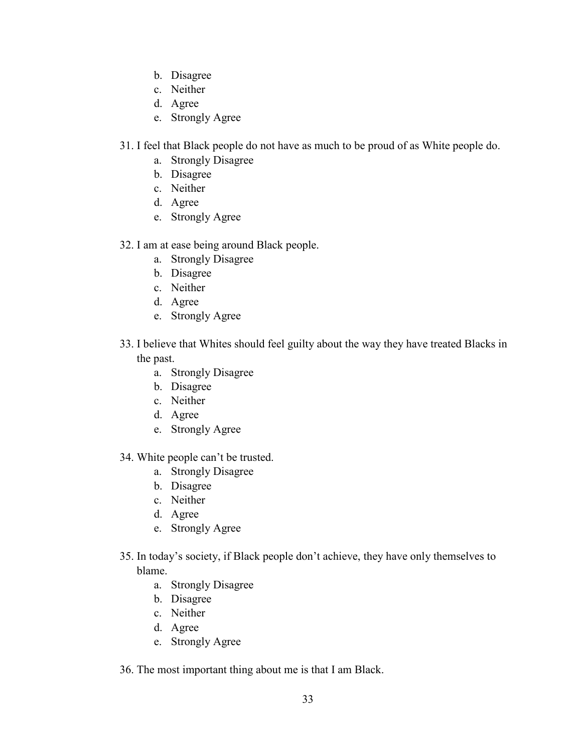- b. Disagree
- c. Neither
- d. Agree
- e. Strongly Agree
- 31. I feel that Black people do not have as much to be proud of as White people do.
	- a. Strongly Disagree
	- b. Disagree
	- c. Neither
	- d. Agree
	- e. Strongly Agree
- 32. I am at ease being around Black people.
	- a. Strongly Disagree
	- b. Disagree
	- c. Neither
	- d. Agree
	- e. Strongly Agree
- 33. I believe that Whites should feel guilty about the way they have treated Blacks in the past.
	- a. Strongly Disagree
	- b. Disagree
	- c. Neither
	- d. Agree
	- e. Strongly Agree
- 34. White people can't be trusted.
	- a. Strongly Disagree
	- b. Disagree
	- c. Neither
	- d. Agree
	- e. Strongly Agree
- 35. In today's society, if Black people don't achieve, they have only themselves to blame.
	- a. Strongly Disagree
	- b. Disagree
	- c. Neither
	- d. Agree
	- e. Strongly Agree
- 36. The most important thing about me is that I am Black.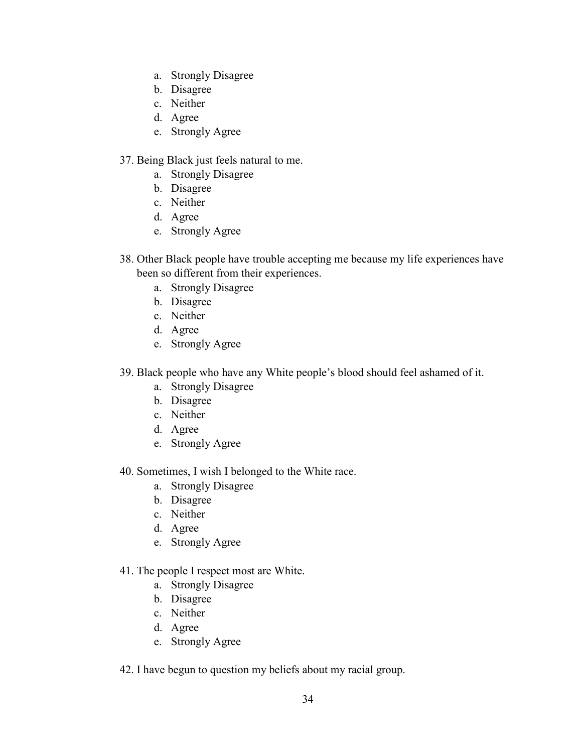- a. Strongly Disagree
- b. Disagree
- c. Neither
- d. Agree
- e. Strongly Agree

## 37. Being Black just feels natural to me.

- a. Strongly Disagree
- b. Disagree
- c. Neither
- d. Agree
- e. Strongly Agree
- 38. Other Black people have trouble accepting me because my life experiences have been so different from their experiences.
	- a. Strongly Disagree
	- b. Disagree
	- c. Neither
	- d. Agree
	- e. Strongly Agree
- 39. Black people who have any White people's blood should feel ashamed of it.
	- a. Strongly Disagree
	- b. Disagree
	- c. Neither
	- d. Agree
	- e. Strongly Agree

40. Sometimes, I wish I belonged to the White race.

- a. Strongly Disagree
- b. Disagree
- c. Neither
- d. Agree
- e. Strongly Agree

## 41. The people I respect most are White.

- a. Strongly Disagree
- b. Disagree
- c. Neither
- d. Agree
- e. Strongly Agree
- 42. I have begun to question my beliefs about my racial group.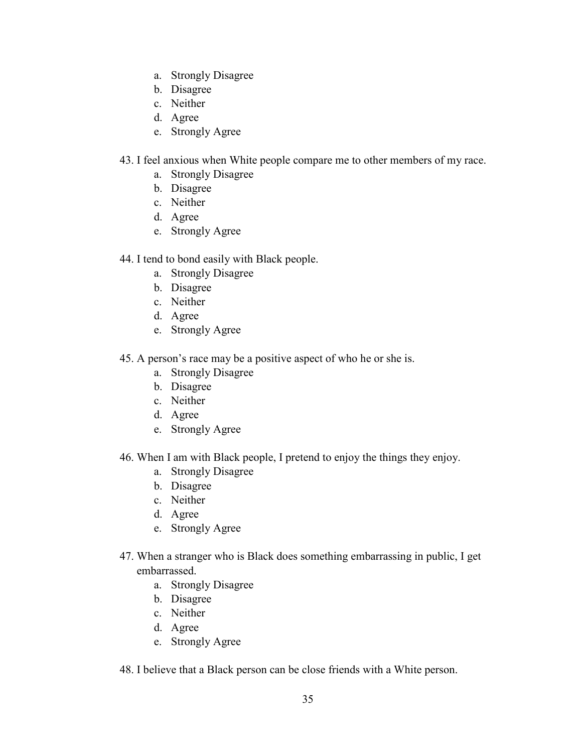- a. Strongly Disagree
- b. Disagree
- c. Neither
- d. Agree
- e. Strongly Agree
- 43. I feel anxious when White people compare me to other members of my race.
	- a. Strongly Disagree
	- b. Disagree
	- c. Neither
	- d. Agree
	- e. Strongly Agree

## 44. I tend to bond easily with Black people.

- a. Strongly Disagree
- b. Disagree
- c. Neither
- d. Agree
- e. Strongly Agree
- 45. A person's race may be a positive aspect of who he or she is.
	- a. Strongly Disagree
	- b. Disagree
	- c. Neither
	- d. Agree
	- e. Strongly Agree
- 46. When I am with Black people, I pretend to enjoy the things they enjoy.
	- a. Strongly Disagree
	- b. Disagree
	- c. Neither
	- d. Agree
	- e. Strongly Agree
- 47. When a stranger who is Black does something embarrassing in public, I get embarrassed.
	- a. Strongly Disagree
	- b. Disagree
	- c. Neither
	- d. Agree
	- e. Strongly Agree
- 48. I believe that a Black person can be close friends with a White person.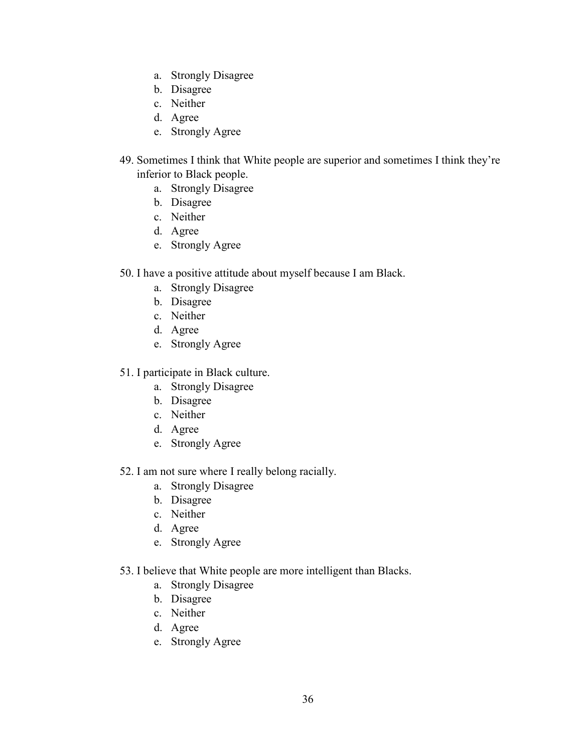- a. Strongly Disagree
- b. Disagree
- c. Neither
- d. Agree
- e. Strongly Agree
- 49. Sometimes I think that White people are superior and sometimes I think they're inferior to Black people.
	- a. Strongly Disagree
	- b. Disagree
	- c. Neither
	- d. Agree
	- e. Strongly Agree
- 50. I have a positive attitude about myself because I am Black.
	- a. Strongly Disagree
	- b. Disagree
	- c. Neither
	- d. Agree
	- e. Strongly Agree
- 51. I participate in Black culture.
	- a. Strongly Disagree
	- b. Disagree
	- c. Neither
	- d. Agree
	- e. Strongly Agree
- 52. I am not sure where I really belong racially.
	- a. Strongly Disagree
	- b. Disagree
	- c. Neither
	- d. Agree
	- e. Strongly Agree
- 53. I believe that White people are more intelligent than Blacks.
	- a. Strongly Disagree
	- b. Disagree
	- c. Neither
	- d. Agree
	- e. Strongly Agree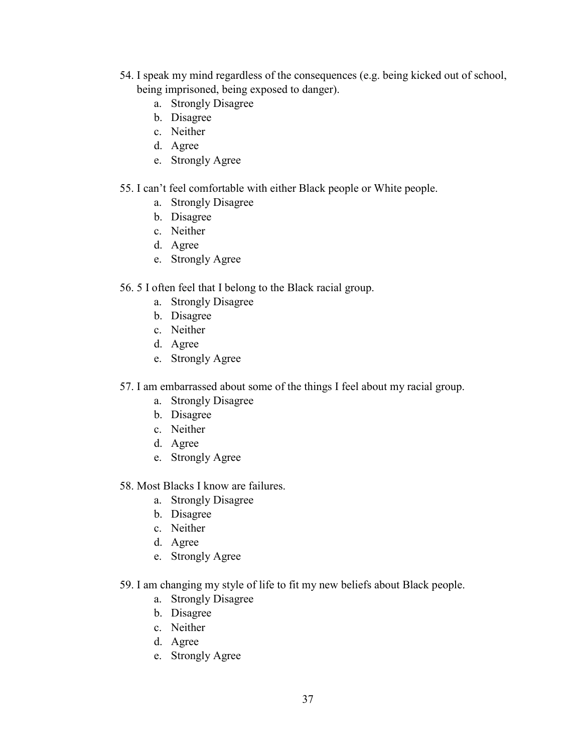- 54. I speak my mind regardless of the consequences (e.g. being kicked out of school, being imprisoned, being exposed to danger).
	- a. Strongly Disagree
	- b. Disagree
	- c. Neither
	- d. Agree
	- e. Strongly Agree

## 55. I can't feel comfortable with either Black people or White people.

- a. Strongly Disagree
- b. Disagree
- c. Neither
- d. Agree
- e. Strongly Agree

## 56. 5 I often feel that I belong to the Black racial group.

- a. Strongly Disagree
- b. Disagree
- c. Neither
- d. Agree
- e. Strongly Agree
- 57. I am embarrassed about some of the things I feel about my racial group.
	- a. Strongly Disagree
	- b. Disagree
	- c. Neither
	- d. Agree
	- e. Strongly Agree
- 58. Most Blacks I know are failures.
	- a. Strongly Disagree
	- b. Disagree
	- c. Neither
	- d. Agree
	- e. Strongly Agree
- 59. I am changing my style of life to fit my new beliefs about Black people.
	- a. Strongly Disagree
	- b. Disagree
	- c. Neither
	- d. Agree
	- e. Strongly Agree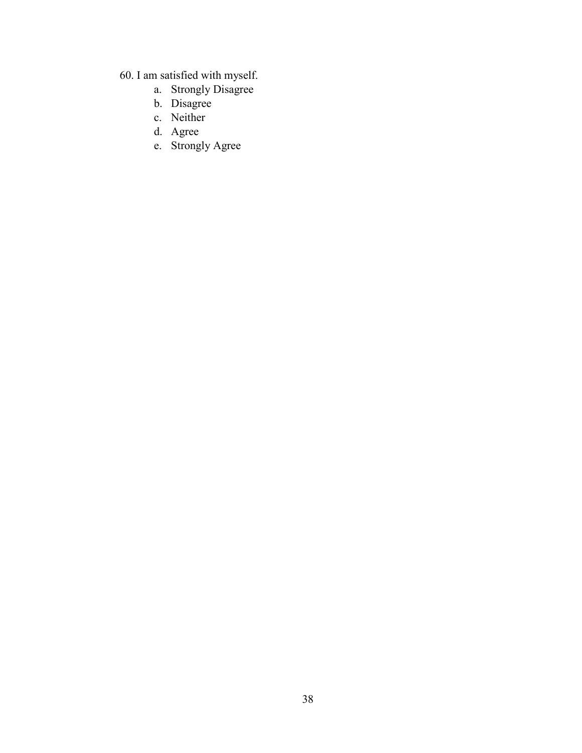- 60. I am satisfied with myself.
	- a. Strongly Disagree
	- b. Disagree
	- c. Neither
	- d. Agree
	- e. Strongly Agree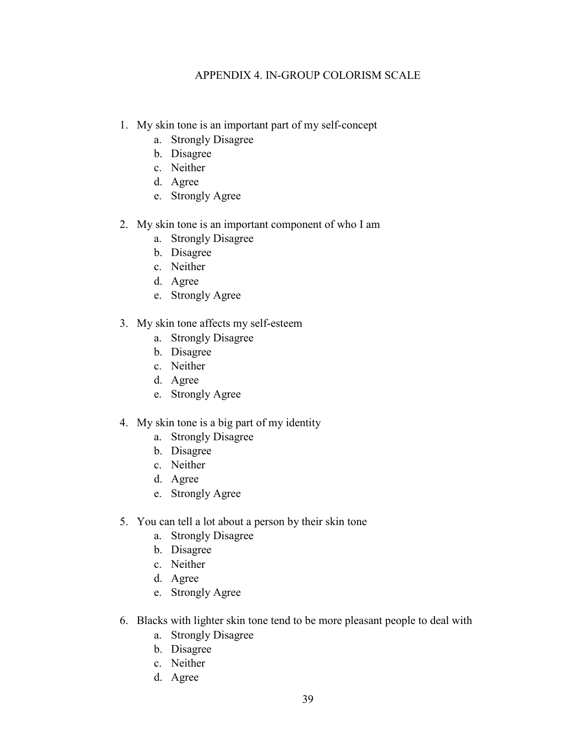## APPENDIX 4. IN-GROUP COLORISM SCALE

- <span id="page-47-0"></span>1. My skin tone is an important part of my self-concept
	- a. Strongly Disagree
	- b. Disagree
	- c. Neither
	- d. Agree
	- e. Strongly Agree
- 2. My skin tone is an important component of who I am
	- a. Strongly Disagree
	- b. Disagree
	- c. Neither
	- d. Agree
	- e. Strongly Agree
- 3. My skin tone affects my self-esteem
	- a. Strongly Disagree
	- b. Disagree
	- c. Neither
	- d. Agree
	- e. Strongly Agree

## 4. My skin tone is a big part of my identity

- a. Strongly Disagree
- b. Disagree
- c. Neither
- d. Agree
- e. Strongly Agree
- 5. You can tell a lot about a person by their skin tone
	- a. Strongly Disagree
	- b. Disagree
	- c. Neither
	- d. Agree
	- e. Strongly Agree
- 6. Blacks with lighter skin tone tend to be more pleasant people to deal with
	- a. Strongly Disagree
	- b. Disagree
	- c. Neither
	- d. Agree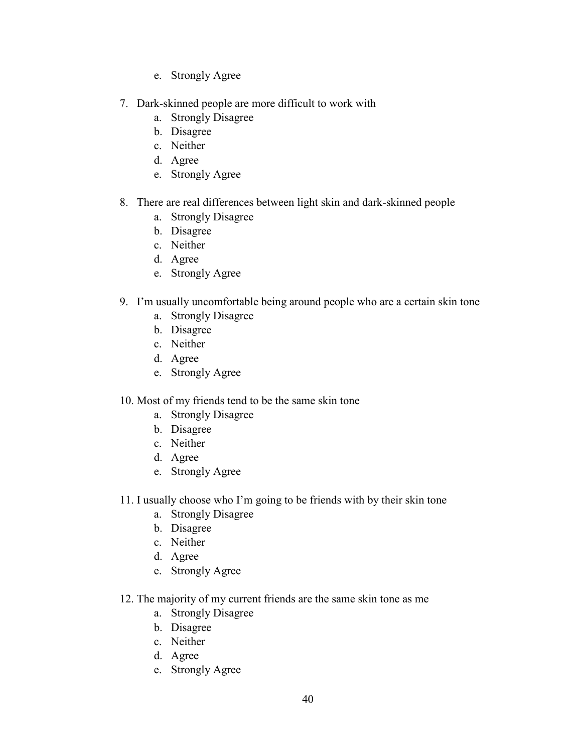- e. Strongly Agree
- 7. Dark-skinned people are more difficult to work with
	- a. Strongly Disagree
	- b. Disagree
	- c. Neither
	- d. Agree
	- e. Strongly Agree
- 8. There are real differences between light skin and dark-skinned people
	- a. Strongly Disagree
	- b. Disagree
	- c. Neither
	- d. Agree
	- e. Strongly Agree
- 9. I'm usually uncomfortable being around people who are a certain skin tone
	- a. Strongly Disagree
	- b. Disagree
	- c. Neither
	- d. Agree
	- e. Strongly Agree
- 10. Most of my friends tend to be the same skin tone
	- a. Strongly Disagree
	- b. Disagree
	- c. Neither
	- d. Agree
	- e. Strongly Agree
- 11. I usually choose who I'm going to be friends with by their skin tone
	- a. Strongly Disagree
	- b. Disagree
	- c. Neither
	- d. Agree
	- e. Strongly Agree
- 12. The majority of my current friends are the same skin tone as me
	- a. Strongly Disagree
	- b. Disagree
	- c. Neither
	- d. Agree
	- e. Strongly Agree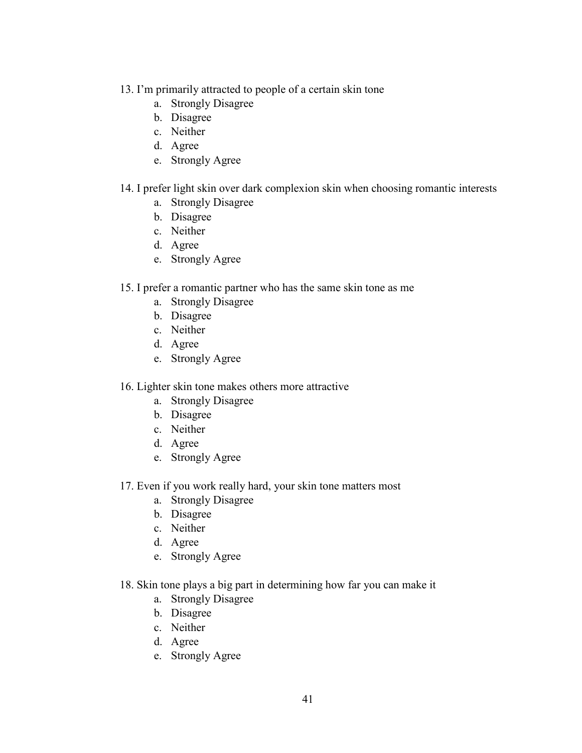- 13. I'm primarily attracted to people of a certain skin tone
	- a. Strongly Disagree
	- b. Disagree
	- c. Neither
	- d. Agree
	- e. Strongly Agree

## 14. I prefer light skin over dark complexion skin when choosing romantic interests

- a. Strongly Disagree
- b. Disagree
- c. Neither
- d. Agree
- e. Strongly Agree

## 15. I prefer a romantic partner who has the same skin tone as me

- a. Strongly Disagree
- b. Disagree
- c. Neither
- d. Agree
- e. Strongly Agree

## 16. Lighter skin tone makes others more attractive

- a. Strongly Disagree
- b. Disagree
- c. Neither
- d. Agree
- e. Strongly Agree
- 17. Even if you work really hard, your skin tone matters most
	- a. Strongly Disagree
	- b. Disagree
	- c. Neither
	- d. Agree
	- e. Strongly Agree
- 18. Skin tone plays a big part in determining how far you can make it
	- a. Strongly Disagree
	- b. Disagree
	- c. Neither
	- d. Agree
	- e. Strongly Agree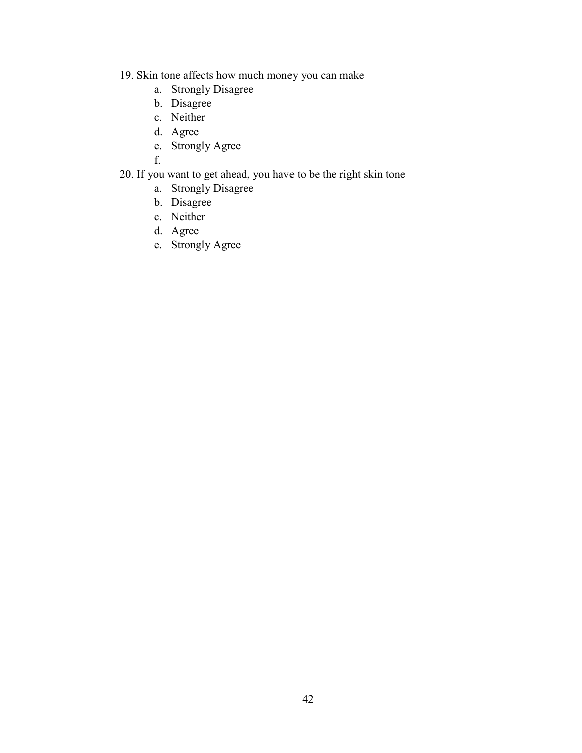- 19. Skin tone affects how much money you can make
	- a. Strongly Disagree
	- b. Disagree
	- c. Neither
	- d. Agree
	- e. Strongly Agree

f.

- 20. If you want to get ahead, you have to be the right skin tone
	- a. Strongly Disagree
	- b. Disagree
	- c. Neither
	- d. Agree
	- e. Strongly Agree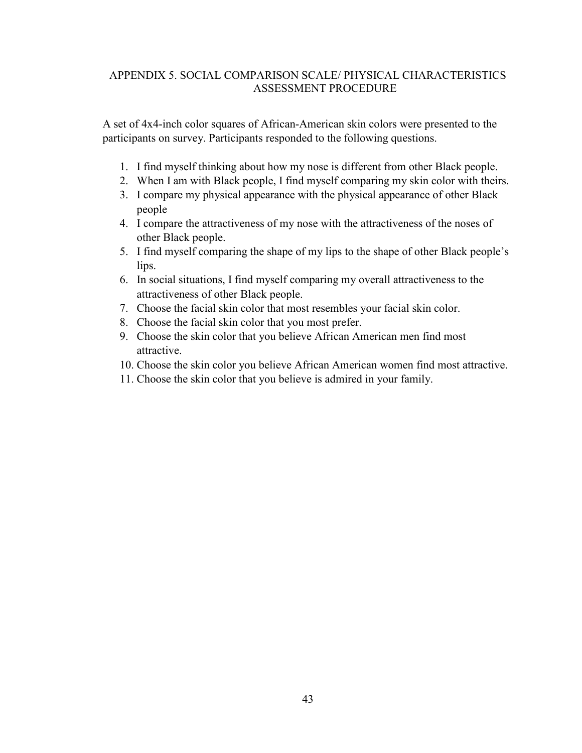## <span id="page-51-0"></span>APPENDIX 5. SOCIAL COMPARISON SCALE/ PHYSICAL CHARACTERISTICS ASSESSMENT PROCEDURE

A set of 4x4-inch color squares of African-American skin colors were presented to the participants on survey. Participants responded to the following questions.

- 1. I find myself thinking about how my nose is different from other Black people.
- 2. When I am with Black people, I find myself comparing my skin color with theirs.
- 3. I compare my physical appearance with the physical appearance of other Black people
- 4. I compare the attractiveness of my nose with the attractiveness of the noses of other Black people.
- 5. I find myself comparing the shape of my lips to the shape of other Black people's lips.
- 6. In social situations, I find myself comparing my overall attractiveness to the attractiveness of other Black people.
- 7. Choose the facial skin color that most resembles your facial skin color.
- 8. Choose the facial skin color that you most prefer.
- 9. Choose the skin color that you believe African American men find most attractive.
- 10. Choose the skin color you believe African American women find most attractive.
- 11. Choose the skin color that you believe is admired in your family.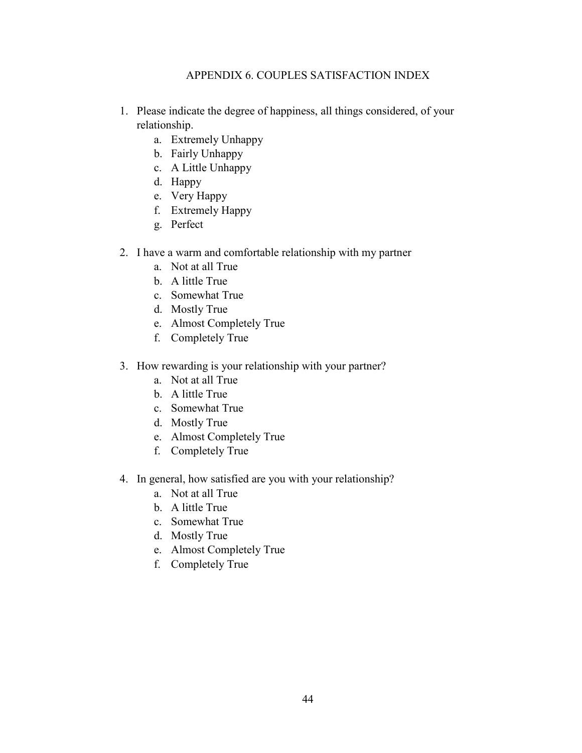## APPENDIX 6. COUPLES SATISFACTION INDEX

- <span id="page-52-0"></span>1. Please indicate the degree of happiness, all things considered, of your relationship.
	- a. Extremely Unhappy
	- b. Fairly Unhappy
	- c. A Little Unhappy
	- d. Happy
	- e. Very Happy
	- f. Extremely Happy
	- g. Perfect
- 2. I have a warm and comfortable relationship with my partner
	- a. Not at all True
	- b. A little True
	- c. Somewhat True
	- d. Mostly True
	- e. Almost Completely True
	- f. Completely True
- 3. How rewarding is your relationship with your partner?
	- a. Not at all True
	- b. A little True
	- c. Somewhat True
	- d. Mostly True
	- e. Almost Completely True
	- f. Completely True
- 4. In general, how satisfied are you with your relationship?
	- a. Not at all True
	- b. A little True
	- c. Somewhat True
	- d. Mostly True
	- e. Almost Completely True
	- f. Completely True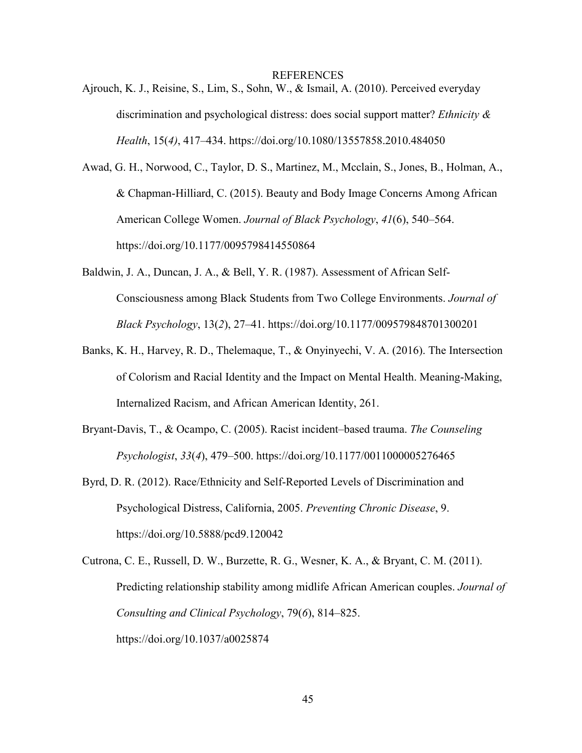REFERENCES

<span id="page-53-0"></span>Ajrouch, K. J., Reisine, S., Lim, S., Sohn, W., & Ismail, A. (2010). Perceived everyday discrimination and psychological distress: does social support matter? *Ethnicity & Health*, 15(*4)*, 417–434. https://doi.org/10.1080/13557858.2010.484050

Awad, G. H., Norwood, C., Taylor, D. S., Martinez, M., Mcclain, S., Jones, B., Holman, A., & Chapman-Hilliard, C. (2015). Beauty and Body Image Concerns Among African American College Women. *Journal of Black Psychology*, *41*(6), 540–564. https://doi.org/10.1177/0095798414550864

- Baldwin, J. A., Duncan, J. A., & Bell, Y. R. (1987). Assessment of African Self-Consciousness among Black Students from Two College Environments. *Journal of Black Psychology*, 13(*2*), 27–41. https://doi.org/10.1177/009579848701300201
- Banks, K. H., Harvey, R. D., Thelemaque, T., & Onyinyechi, V. A. (2016). The Intersection of Colorism and Racial Identity and the Impact on Mental Health. Meaning-Making, Internalized Racism, and African American Identity, 261.
- Bryant-Davis, T., & Ocampo, C. (2005). Racist incident–based trauma. *The Counseling Psychologist*, *33*(*4*), 479–500. https://doi.org/10.1177/0011000005276465
- Byrd, D. R. (2012). Race/Ethnicity and Self-Reported Levels of Discrimination and Psychological Distress, California, 2005. *Preventing Chronic Disease*, 9. https://doi.org/10.5888/pcd9.120042
- Cutrona, C. E., Russell, D. W., Burzette, R. G., Wesner, K. A., & Bryant, C. M. (2011). Predicting relationship stability among midlife African American couples. *Journal of Consulting and Clinical Psychology*, 79(*6*), 814–825. https://doi.org/10.1037/a0025874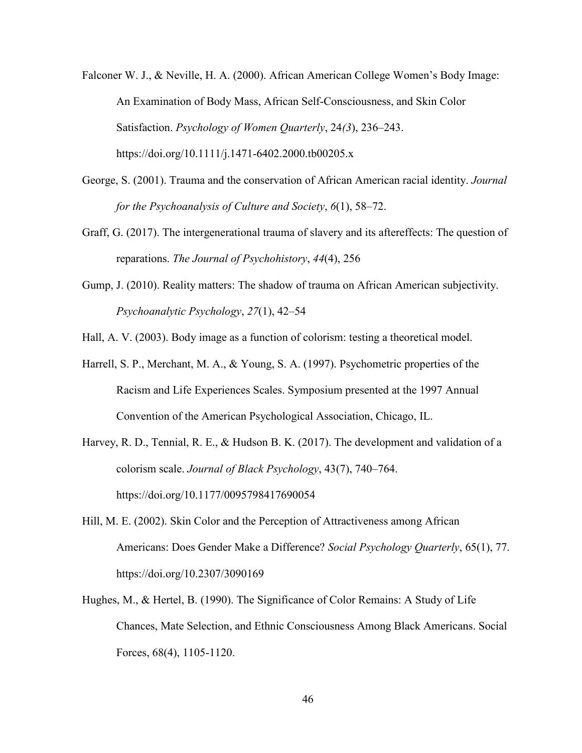- Falconer W. J., & Neville, H. A. (2000). African American College Women's Body Image: An Examination of Body Mass, African Self-Consciousness, and Skin Color Satisfaction. *Psychology of Women Quarterly*, 24*(3*), 236–243. https://doi.org/10.1111/j.1471-6402.2000.tb00205.x
- George, S. (2001). Trauma and the conservation of African American racial identity. *Journal for the Psychoanalysis of Culture and Society*, *6*(1), 58–72.
- Graff, G. (2017). The intergenerational trauma of slavery and its aftereffects: The question of reparations. *The Journal of Psychohistory*, *44*(4), 256
- Gump, J. (2010). Reality matters: The shadow of trauma on African American subjectivity. *Psychoanalytic Psychology*, *27*(1), 42–54
- Hall, A. V. (2003). Body image as a function of colorism: testing a theoretical model.
- Harrell, S. P., Merchant, M. A., & Young, S. A. (1997). Psychometric properties of the Racism and Life Experiences Scales. Symposium presented at the 1997 Annual Convention of the American Psychological Association, Chicago, IL.
- Harvey, R. D., Tennial, R. E., & Hudson B. K. (2017). The development and validation of a colorism scale. *Journal of Black Psychology*, 43(7), 740–764. https://doi.org/10.1177/0095798417690054
- Hill, M. E. (2002). Skin Color and the Perception of Attractiveness among African Americans: Does Gender Make a Difference? *Social Psychology Quarterly*, 65(1), 77. https://doi.org/10.2307/3090169
- Hughes, M., & Hertel, B. (1990). The Significance of Color Remains: A Study of Life Chances, Mate Selection, and Ethnic Consciousness Among Black Americans. Social Forces, 68(4), 1105-1120.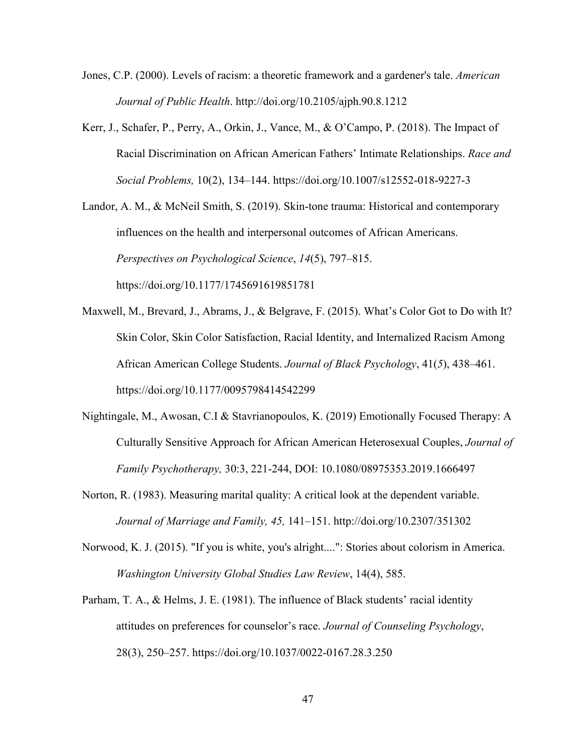- Jones, C.P. (2000). Levels of racism: a theoretic framework and a gardener's tale. *American Journal of Public Health*. http://doi.org/10.2105/ajph.90.8.1212
- Kerr, J., Schafer, P., Perry, A., Orkin, J., Vance, M., & O'Campo, P. (2018). The Impact of Racial Discrimination on African American Fathers' Intimate Relationships. *Race and Social Problems,* 10(2), 134–144. https://doi.org/10.1007/s12552-018-9227-3

Landor, A. M., & McNeil Smith, S. (2019). Skin-tone trauma: Historical and contemporary influences on the health and interpersonal outcomes of African Americans. *Perspectives on Psychological Science*, *14*(5), 797–815. https://doi.org/10.1177/1745691619851781

- Maxwell, M., Brevard, J., Abrams, J., & Belgrave, F. (2015). What's Color Got to Do with It? Skin Color, Skin Color Satisfaction, Racial Identity, and Internalized Racism Among African American College Students. *Journal of Black Psychology*, 41(*5*), 438–461. https://doi.org/10.1177/0095798414542299
- Nightingale, M., Awosan, C.I & Stavrianopoulos, K. (2019) Emotionally Focused Therapy: A Culturally Sensitive Approach for African American Heterosexual Couples, *Journal of Family Psychotherapy,* 30:3, 221-244, DOI: 10.1080/08975353.2019.1666497
- Norton, R. (1983). Measuring marital quality: A critical look at the dependent variable. *Journal of Marriage and Family, 45,* 141–151. http://doi.org/10.2307/351302
- Norwood, K. J. (2015). "If you is white, you's alright....": Stories about colorism in America. *Washington University Global Studies Law Review*, 14(4), 585.
- Parham, T. A., & Helms, J. E. (1981). The influence of Black students' racial identity attitudes on preferences for counselor's race. *Journal of Counseling Psychology*, 28(3), 250–257. https://doi.org/10.1037/0022-0167.28.3.250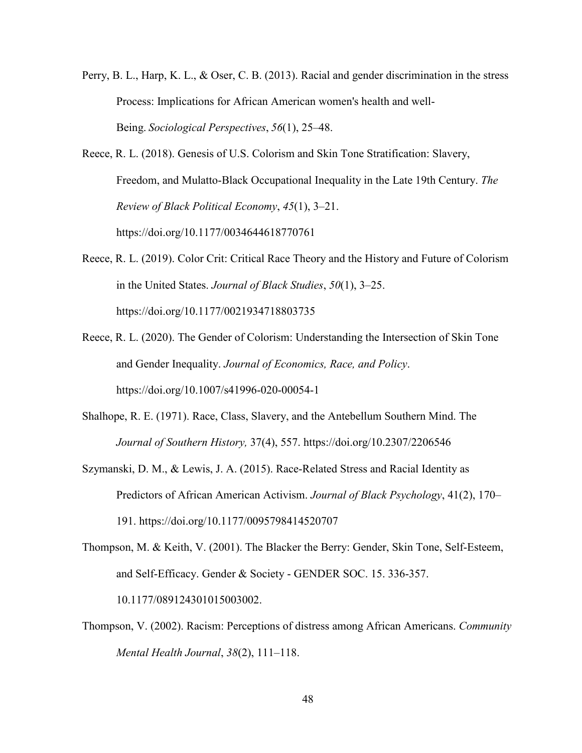- Perry, B. L., Harp, K. L., & Oser, C. B. (2013). Racial and gender discrimination in the stress Process: Implications for African American women's health and well-Being. *Sociological Perspectives*, *56*(1), 25–48.
- Reece, R. L. (2018). Genesis of U.S. Colorism and Skin Tone Stratification: Slavery, Freedom, and Mulatto-Black Occupational Inequality in the Late 19th Century. *The Review of Black Political Economy*, *45*(1), 3–21. https://doi.org/10.1177/0034644618770761
- Reece, R. L. (2019). Color Crit: Critical Race Theory and the History and Future of Colorism in the United States. *Journal of Black Studies*, *50*(1), 3–25. https://doi.org/10.1177/0021934718803735
- Reece, R. L. (2020). The Gender of Colorism: Understanding the Intersection of Skin Tone and Gender Inequality. *Journal of Economics, Race, and Policy*. https://doi.org/10.1007/s41996-020-00054-1
- Shalhope, R. E. (1971). Race, Class, Slavery, and the Antebellum Southern Mind. The *Journal of Southern History,* 37(4), 557. https://doi.org/10.2307/2206546
- Szymanski, D. M., & Lewis, J. A. (2015). Race-Related Stress and Racial Identity as Predictors of African American Activism. *Journal of Black Psychology*, 41(2), 170– 191. https://doi.org/10.1177/0095798414520707
- Thompson, M. & Keith, V. (2001). The Blacker the Berry: Gender, Skin Tone, Self-Esteem, and Self-Efficacy. Gender & Society - GENDER SOC. 15. 336-357. 10.1177/089124301015003002.
- Thompson, V. (2002). Racism: Perceptions of distress among African Americans. *Community Mental Health Journal*, *38*(2), 111–118.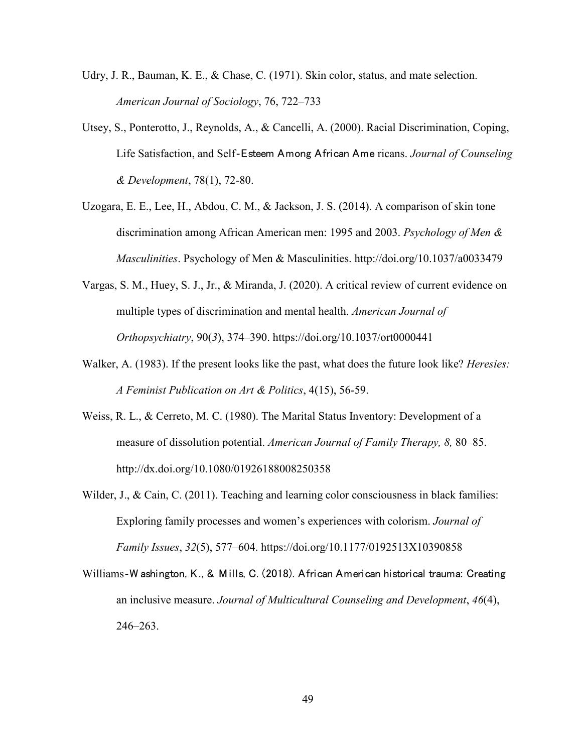- Udry, J. R., Bauman, K. E., & Chase, C. (1971). Skin color, status, and mate selection. *American Journal of Sociology*, 76, 722–733
- Utsey, S., Ponterotto, J., Reynolds, A., & Cancelli, A. (2000). Racial Discrimination, Coping, Life Satisfaction, and Self‐Esteem Among African Ame ricans. *Journal of Counseling & Development*, 78(1), 72-80.
- Uzogara, E. E., Lee, H., Abdou, C. M., & Jackson, J. S. (2014). A comparison of skin tone discrimination among African American men: 1995 and 2003. *Psychology of Men & Masculinities*. Psychology of Men & Masculinities. http://doi.org/10.1037/a0033479
- Vargas, S. M., Huey, S. J., Jr., & Miranda, J. (2020). A critical review of current evidence on multiple types of discrimination and mental health. *American Journal of Orthopsychiatry*, 90(*3*), 374–390. https://doi.org/10.1037/ort0000441
- Walker, A. (1983). If the present looks like the past, what does the future look like? *Heresies: A Feminist Publication on Art & Politics*, 4(15), 56-59.
- Weiss, R. L., & Cerreto, M. C. (1980). The Marital Status Inventory: Development of a measure of dissolution potential. *American Journal of Family Therapy, 8,* 80–85. http://dx.doi.org/10.1080/01926188008250358
- Wilder, J., & Cain, C. (2011). Teaching and learning color consciousness in black families: Exploring family processes and women's experiences with colorism. *Journal of Family Issues*, *32*(5), 577–604. https://doi.org/10.1177/0192513X10390858
- Williams‐W ashington, K., & Mills, C. (2018). African American historical trauma: Creating an inclusive measure. *Journal of Multicultural Counseling and Development*, *46*(4), 246–263.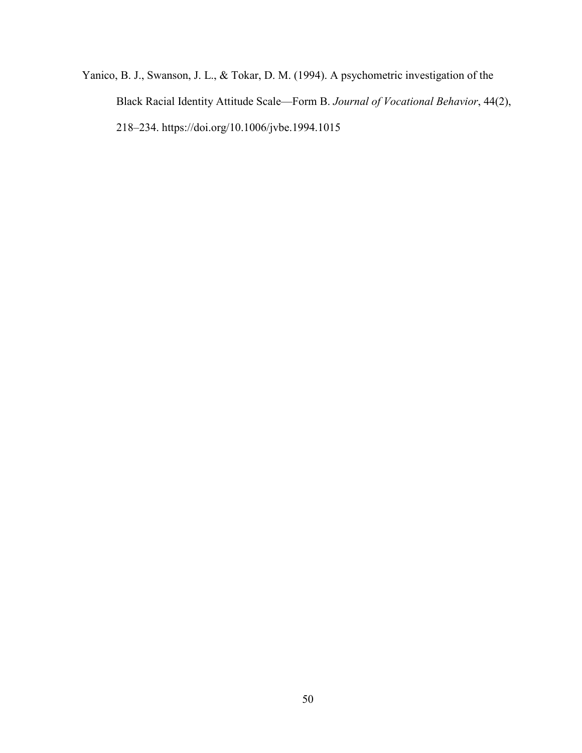Yanico, B. J., Swanson, J. L., & Tokar, D. M. (1994). A psychometric investigation of the Black Racial Identity Attitude Scale—Form B. *Journal of Vocational Behavior*, 44(2), 218–234. https://doi.org/10.1006/jvbe.1994.1015